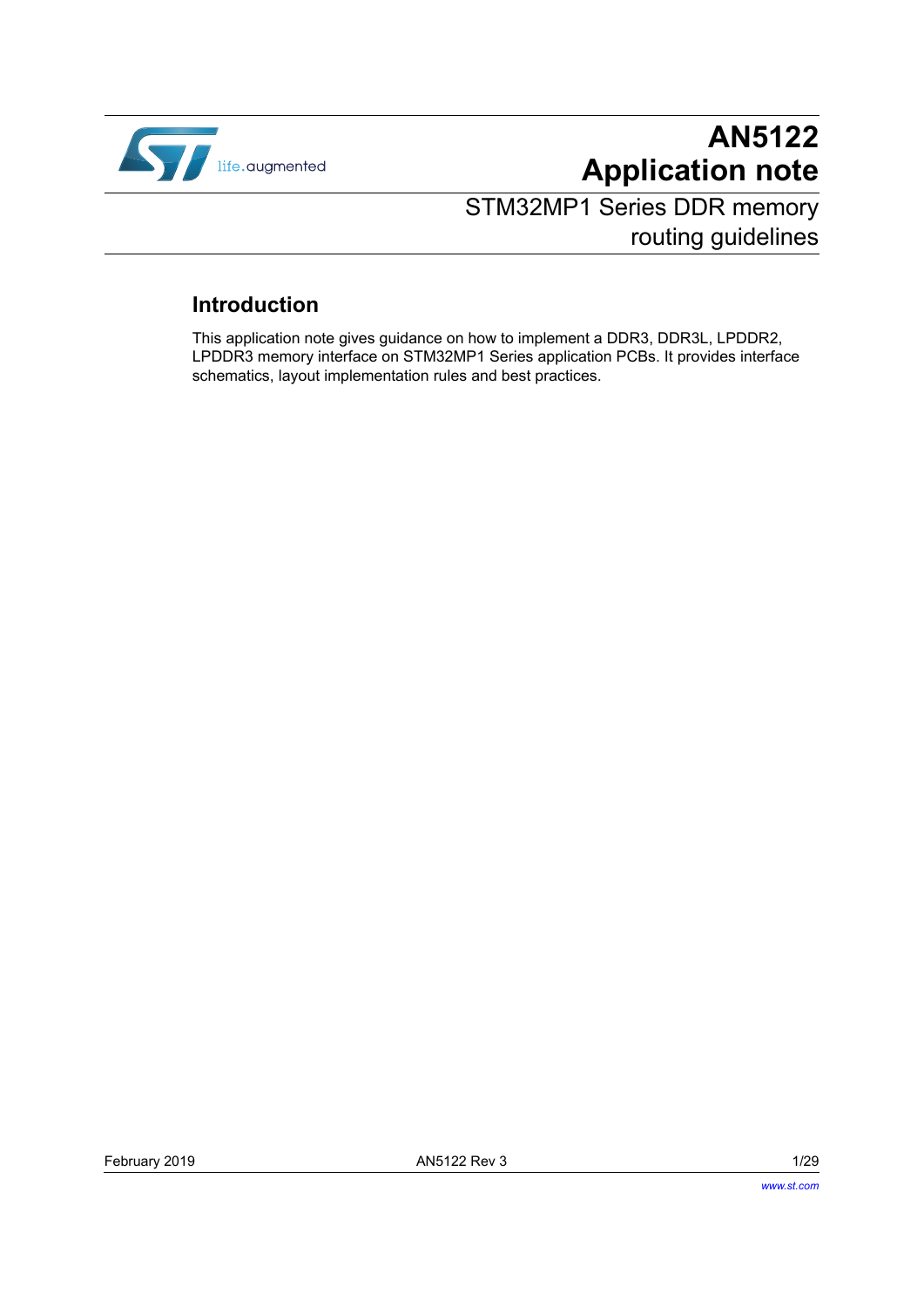

# **AN5122 Application note**

# STM32MP1 Series DDR memory routing guidelines

## **Introduction**

This application note gives guidance on how to implement a DDR3, DDR3L, LPDDR2, LPDDR3 memory interface on STM32MP1 Series application PCBs. It provides interface schematics, layout implementation rules and best practices.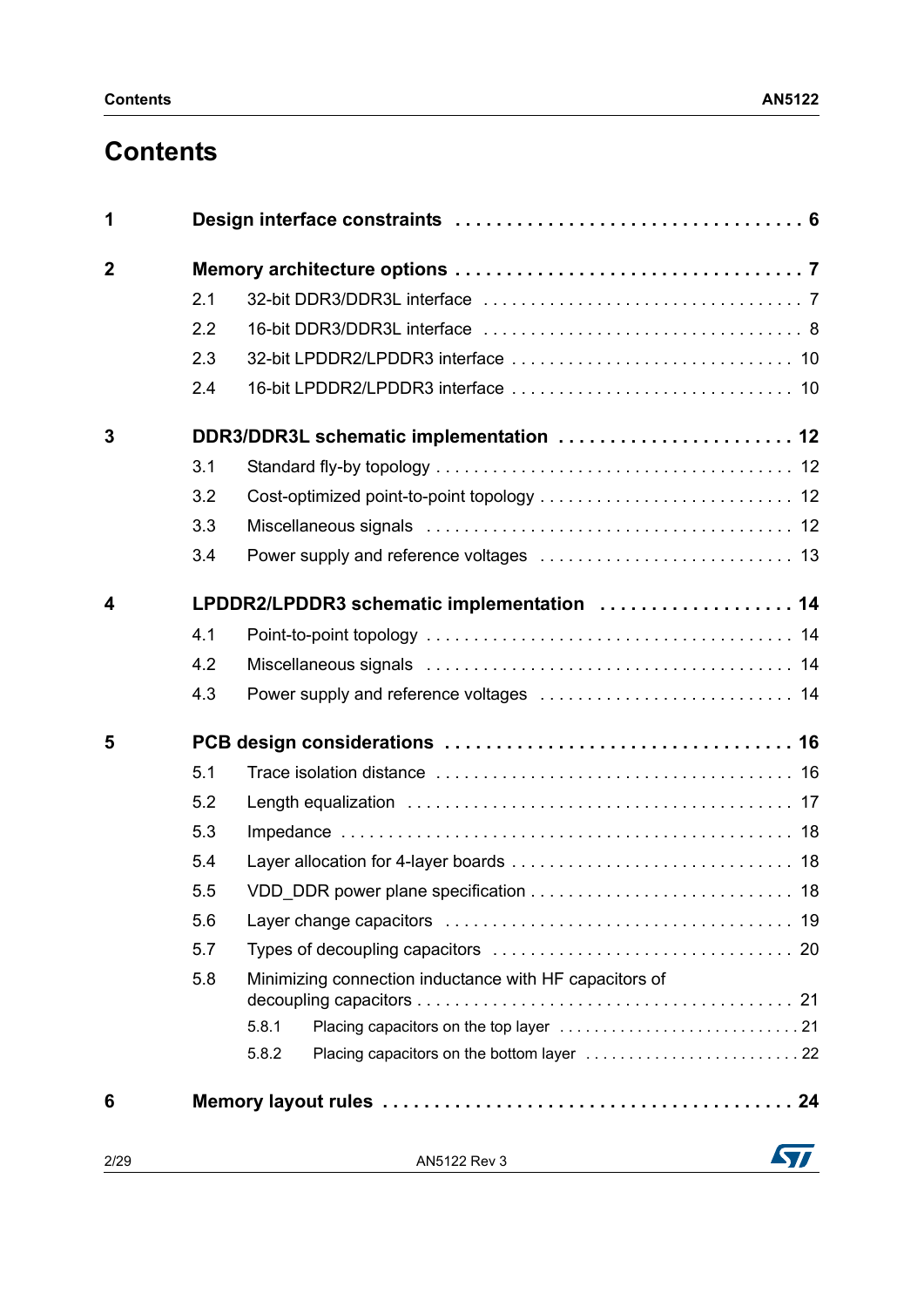# **Contents**

| 1                       |     |                                                        |
|-------------------------|-----|--------------------------------------------------------|
| $\overline{2}$          |     |                                                        |
|                         | 2.1 |                                                        |
|                         | 2.2 |                                                        |
|                         | 2.3 |                                                        |
|                         | 2.4 |                                                        |
| 3                       |     | DDR3/DDR3L schematic implementation  12                |
|                         | 3.1 |                                                        |
|                         | 3.2 |                                                        |
|                         | 3.3 |                                                        |
|                         | 3.4 |                                                        |
| $\overline{\mathbf{4}}$ |     | LPDDR2/LPDDR3 schematic implementation  14             |
|                         | 4.1 |                                                        |
|                         | 4.2 |                                                        |
|                         | 4.3 |                                                        |
| 5                       |     |                                                        |
|                         | 5.1 |                                                        |
|                         | 5.2 |                                                        |
|                         | 5.3 |                                                        |
|                         | 5.4 |                                                        |
|                         | 5.5 |                                                        |
|                         | 5.6 |                                                        |
|                         | 5.7 |                                                        |
|                         | 5.8 | Minimizing connection inductance with HF capacitors of |
|                         |     | 5.8.1                                                  |
|                         |     | 5.8.2                                                  |
| 6                       |     |                                                        |

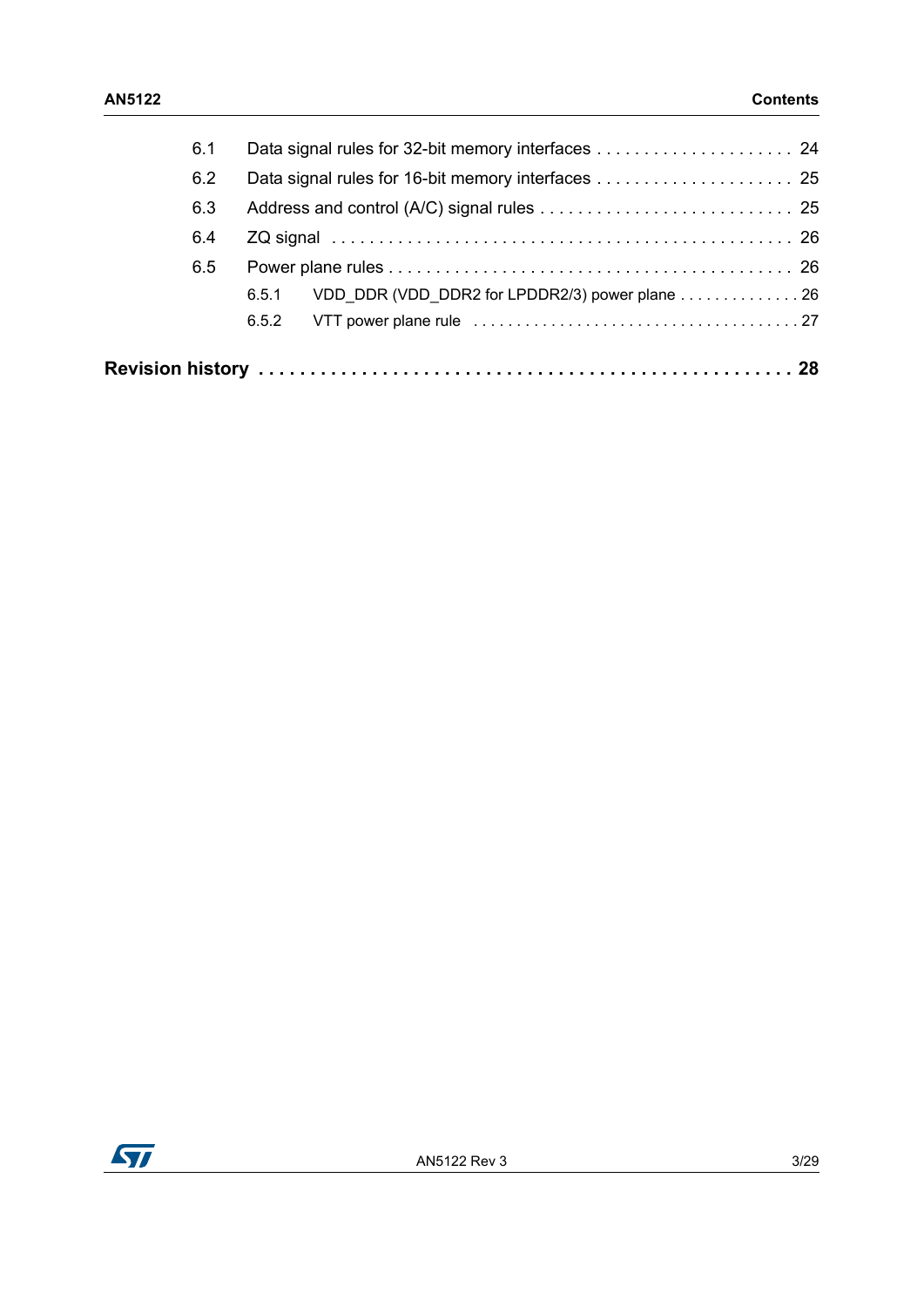| 6.1 |                                                         |
|-----|---------------------------------------------------------|
| 6.2 |                                                         |
| 6.3 |                                                         |
| 6.4 |                                                         |
| 6.5 |                                                         |
|     | VDD DDR (VDD DDR2 for LPDDR2/3) power plane 26<br>6.5.1 |
|     | 6.5.2                                                   |
|     |                                                         |

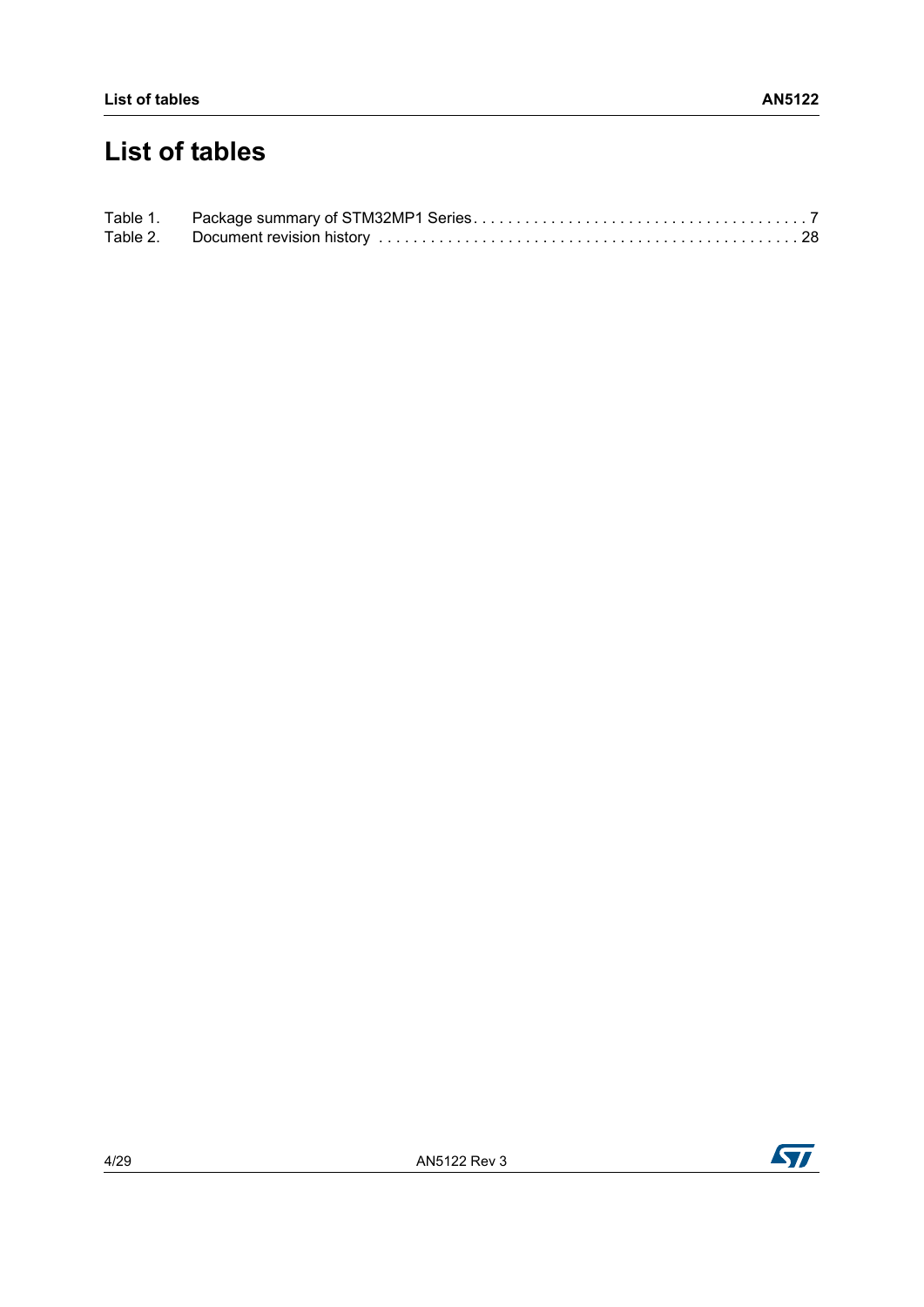# **List of tables**



 $\sqrt{2}$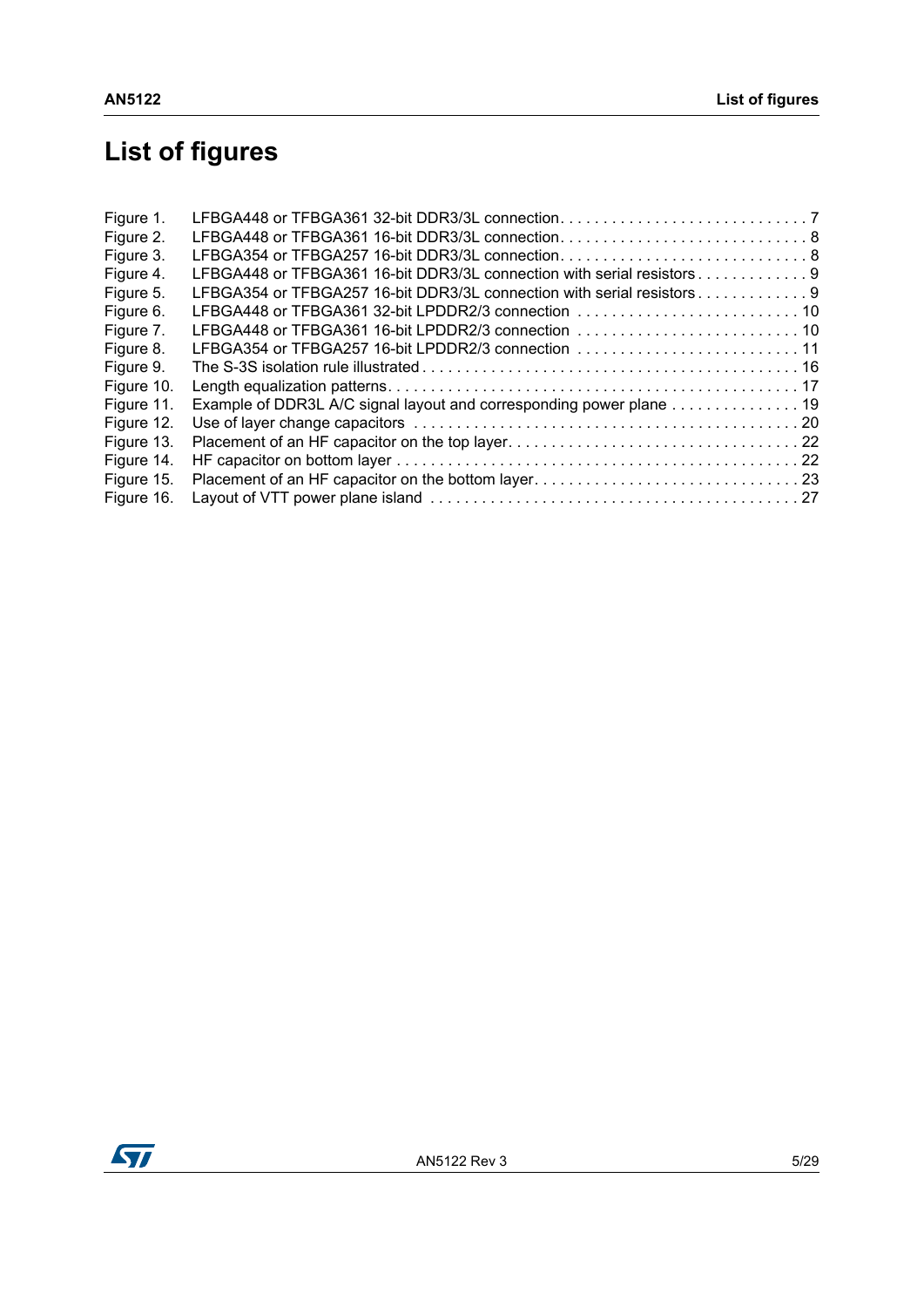# **List of figures**

| LFBGA354 or TFBGA257 16-bit DDR3/3L connection8                        |  |
|------------------------------------------------------------------------|--|
| LFBGA448 or TFBGA361 16-bit DDR3/3L connection with serial resistors9  |  |
| LFBGA354 or TFBGA257 16-bit DDR3/3L connection with serial resistors 9 |  |
|                                                                        |  |
|                                                                        |  |
| LFBGA354 or TFBGA257 16-bit LPDDR2/3 connection 11                     |  |
|                                                                        |  |
|                                                                        |  |
| Example of DDR3L A/C signal layout and corresponding power plane 19    |  |
|                                                                        |  |
|                                                                        |  |
|                                                                        |  |
|                                                                        |  |
|                                                                        |  |
|                                                                        |  |

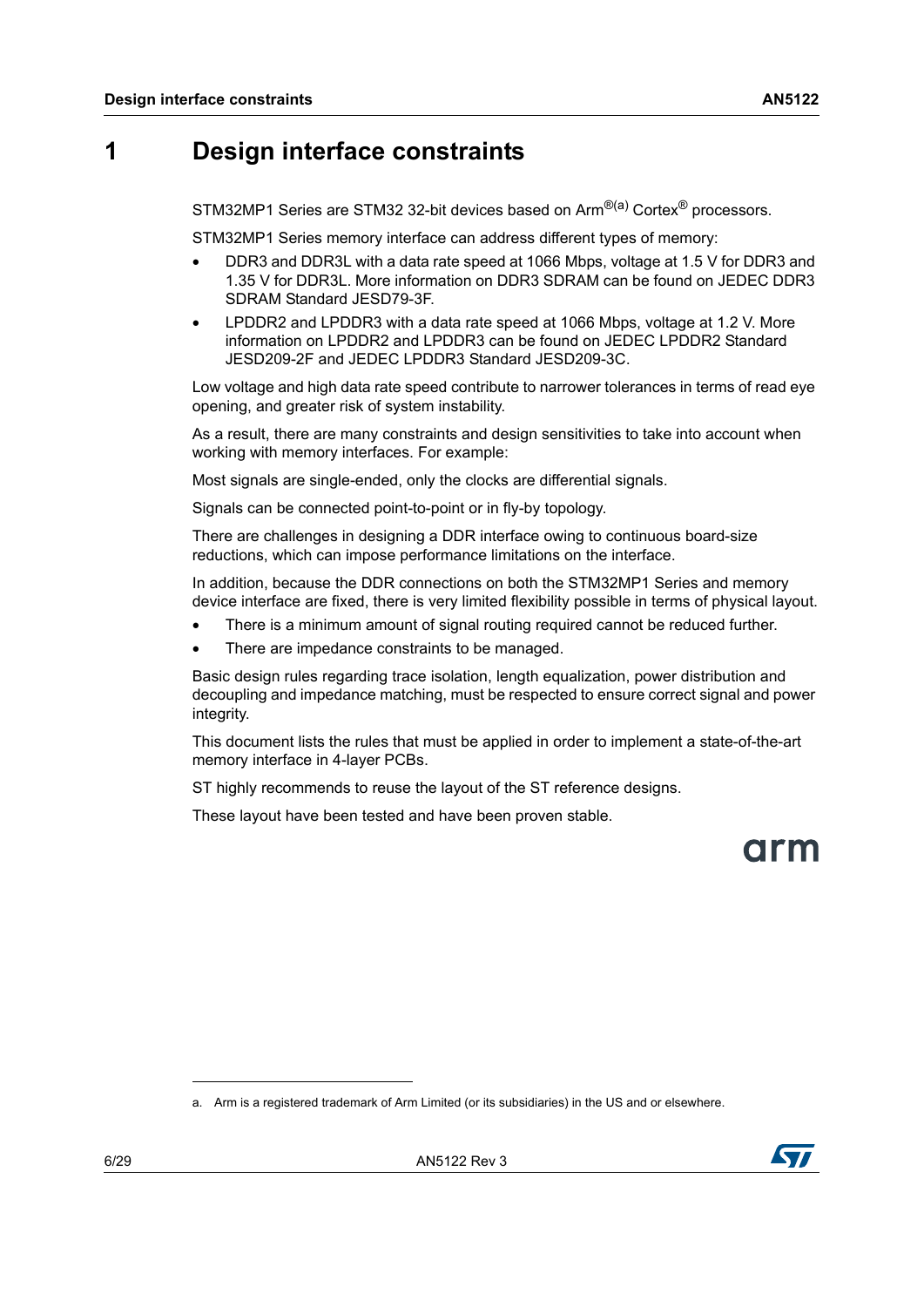## <span id="page-5-0"></span>**1 Design interface constraints**

STM32MP1 Series are STM32 32-bit devices based on Arm<sup>®(a)</sup> Cortex<sup>®</sup> processors.

STM32MP1 Series memory interface can address different types of memory:

- DDR3 and DDR3L with a data rate speed at 1066 Mbps, voltage at 1.5 V for DDR3 and 1.35 V for DDR3L. More information on DDR3 SDRAM can be found on JEDEC DDR3 SDRAM Standard JESD79-3F.
- LPDDR2 and LPDDR3 with a data rate speed at 1066 Mbps, voltage at 1.2 V. More information on LPDDR2 and LPDDR3 can be found on JEDEC LPDDR2 Standard JESD209-2F and JEDEC LPDDR3 Standard JESD209-3C.

Low voltage and high data rate speed contribute to narrower tolerances in terms of read eye opening, and greater risk of system instability.

As a result, there are many constraints and design sensitivities to take into account when working with memory interfaces. For example:

Most signals are single-ended, only the clocks are differential signals.

Signals can be connected point-to-point or in fly-by topology.

There are challenges in designing a DDR interface owing to continuous board-size reductions, which can impose performance limitations on the interface.

In addition, because the DDR connections on both the STM32MP1 Series and memory device interface are fixed, there is very limited flexibility possible in terms of physical layout.

- There is a minimum amount of signal routing required cannot be reduced further.
- There are impedance constraints to be managed.

Basic design rules regarding trace isolation, length equalization, power distribution and decoupling and impedance matching, must be respected to ensure correct signal and power integrity.

This document lists the rules that must be applied in order to implement a state-of-the-art memory interface in 4-layer PCBs.

ST highly recommends to reuse the layout of the ST reference designs.

These layout have been tested and have been proven stable.



a. Arm is a registered trademark of Arm Limited (or its subsidiaries) in the US and or elsewhere.

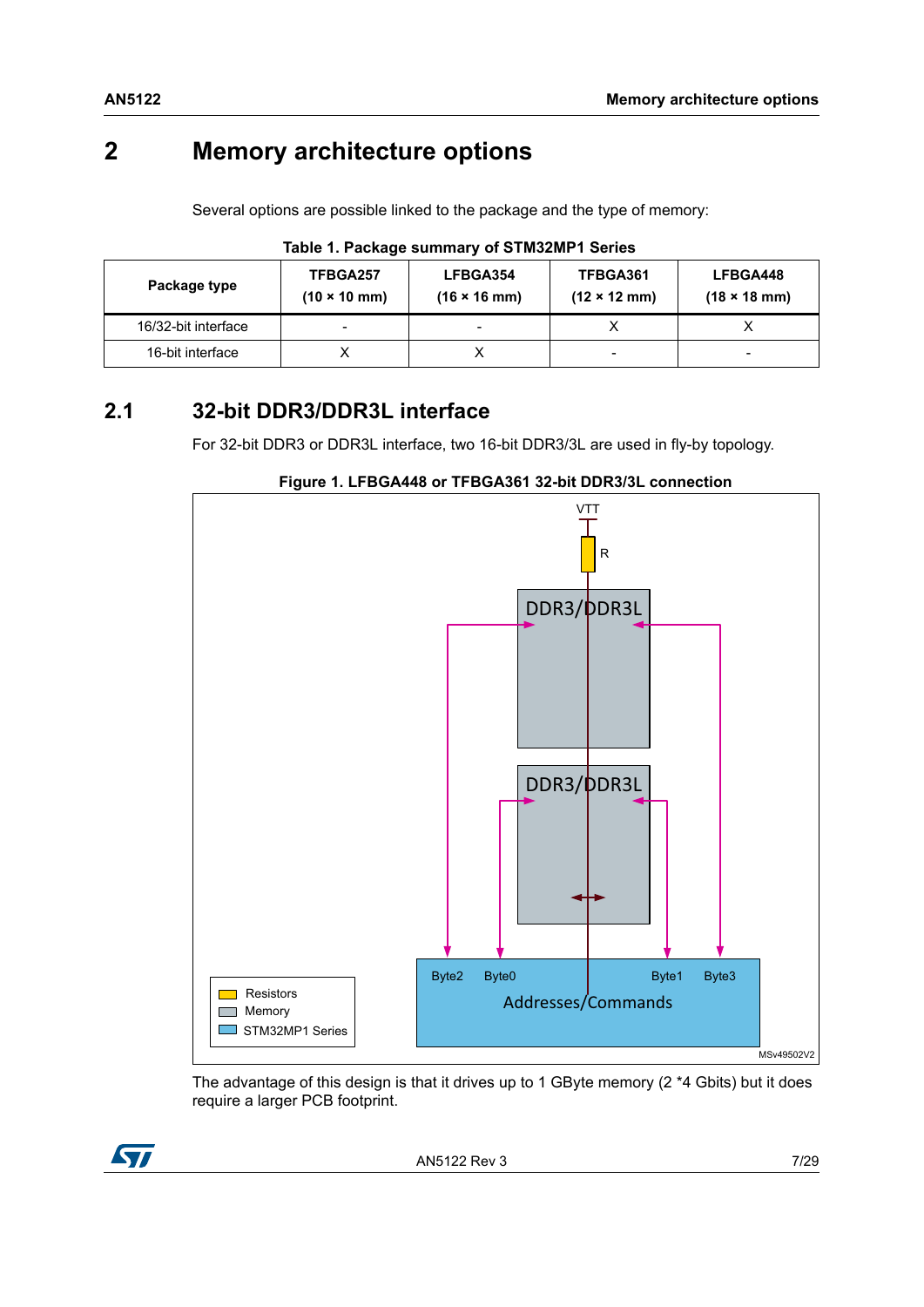## <span id="page-6-0"></span>**2 Memory architecture options**

Several options are possible linked to the package and the type of memory:

<span id="page-6-2"></span>

| Package type        | TFBGA257<br>$(10 \times 10 \text{ mm})$ | LFBGA354<br>$(16 \times 16 \text{ mm})$ | TFBGA361<br>$(12 \times 12 \text{ mm})$ | LFBGA448<br>$(18 \times 18 \text{ mm})$ |
|---------------------|-----------------------------------------|-----------------------------------------|-----------------------------------------|-----------------------------------------|
| 16/32-bit interface | $\overline{\phantom{0}}$                | -                                       |                                         |                                         |
| 16-bit interface    |                                         |                                         | -                                       |                                         |

#### **Table 1. Package summary of STM32MP1 Series**

## <span id="page-6-1"></span>**2.1 32-bit DDR3/DDR3L interface**

For 32-bit DDR3 or DDR3L interface, two 16-bit DDR3/3L are used in fly-by topology.

<span id="page-6-3"></span>

#### **Figure 1. LFBGA448 or TFBGA361 32-bit DDR3/3L connection**

The advantage of this design is that it drives up to 1 GByte memory (2 \*4 Gbits) but it does require a larger PCB footprint.

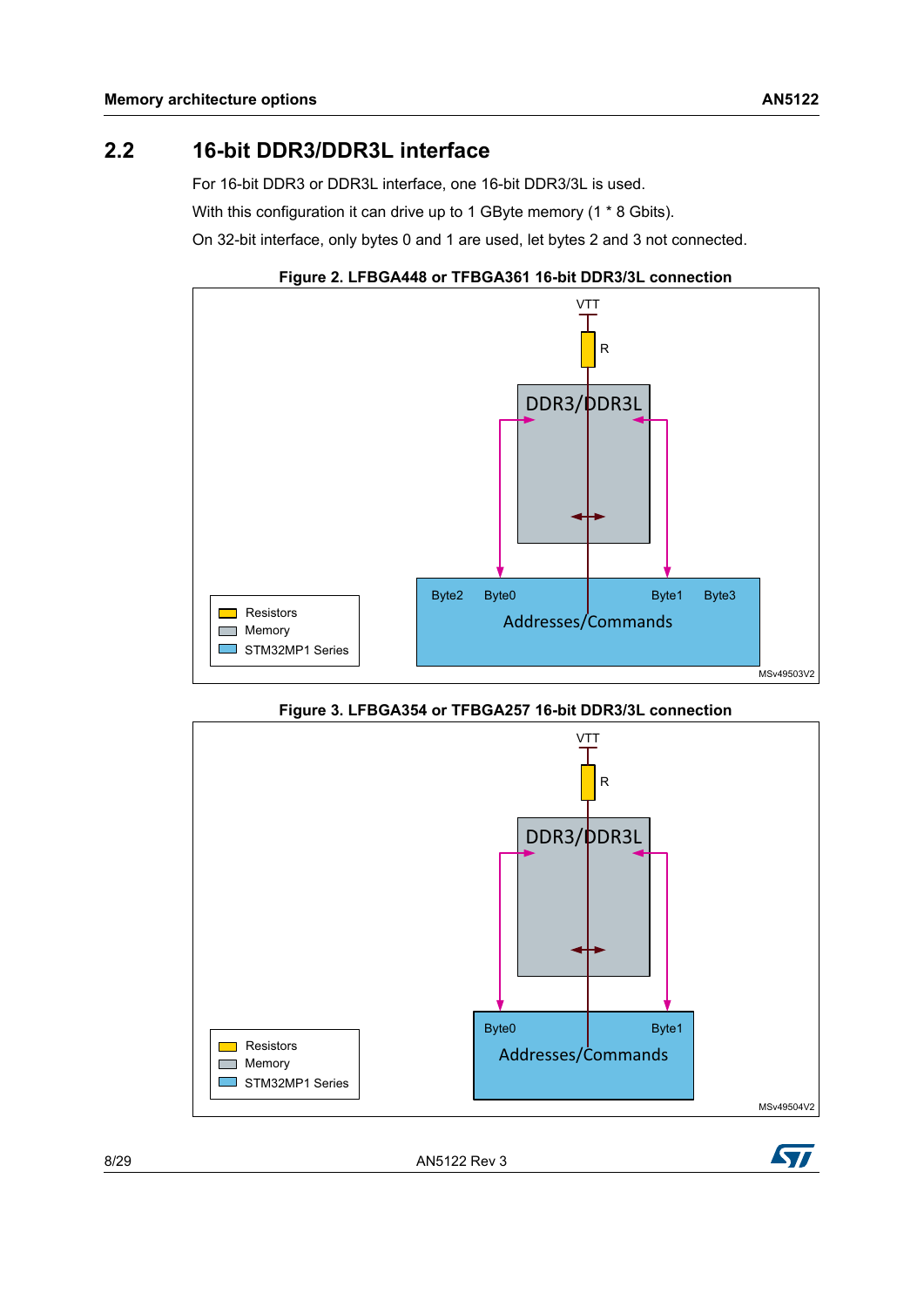## <span id="page-7-0"></span>**2.2 16-bit DDR3/DDR3L interface**

For 16-bit DDR3 or DDR3L interface, one 16-bit DDR3/3L is used.

With this configuration it can drive up to 1 GByte memory (1  $*$  8 Gbits).

On 32-bit interface, only bytes 0 and 1 are used, let bytes 2 and 3 not connected.



<span id="page-7-1"></span>

**Figure 3. LFBGA354 or TFBGA257 16-bit DDR3/3L connection**

<span id="page-7-2"></span>

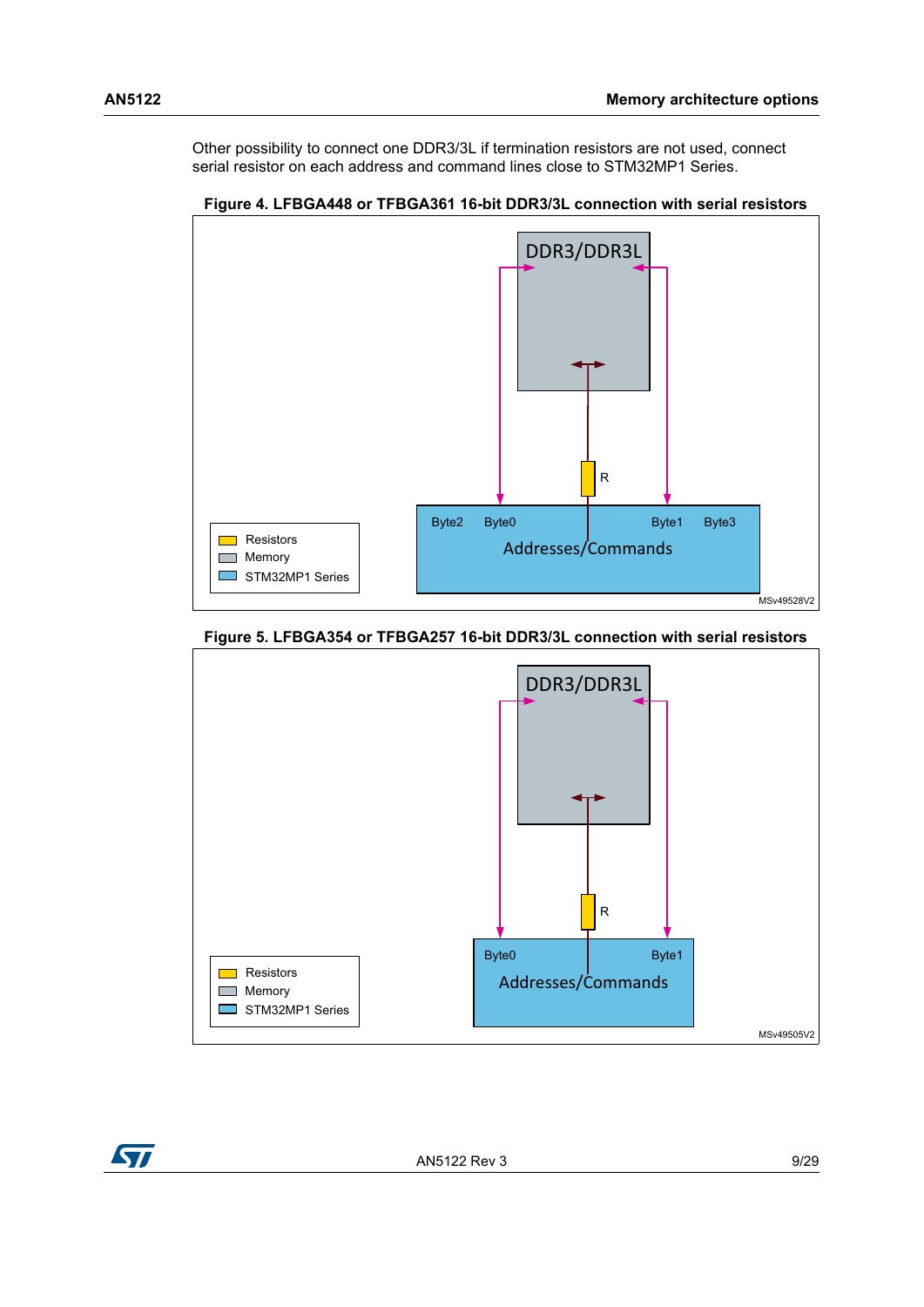Other possibility to connect one DDR3/3L if termination resistors are not used, connect serial resistor on each address and command lines close to STM32MP1 Series.



#### <span id="page-8-0"></span>**Figure 4. LFBGA448 or TFBGA361 16-bit DDR3/3L connection with serial resistors**

#### <span id="page-8-1"></span>**Figure 5. LFBGA354 or TFBGA257 16-bit DDR3/3L connection with serial resistors**



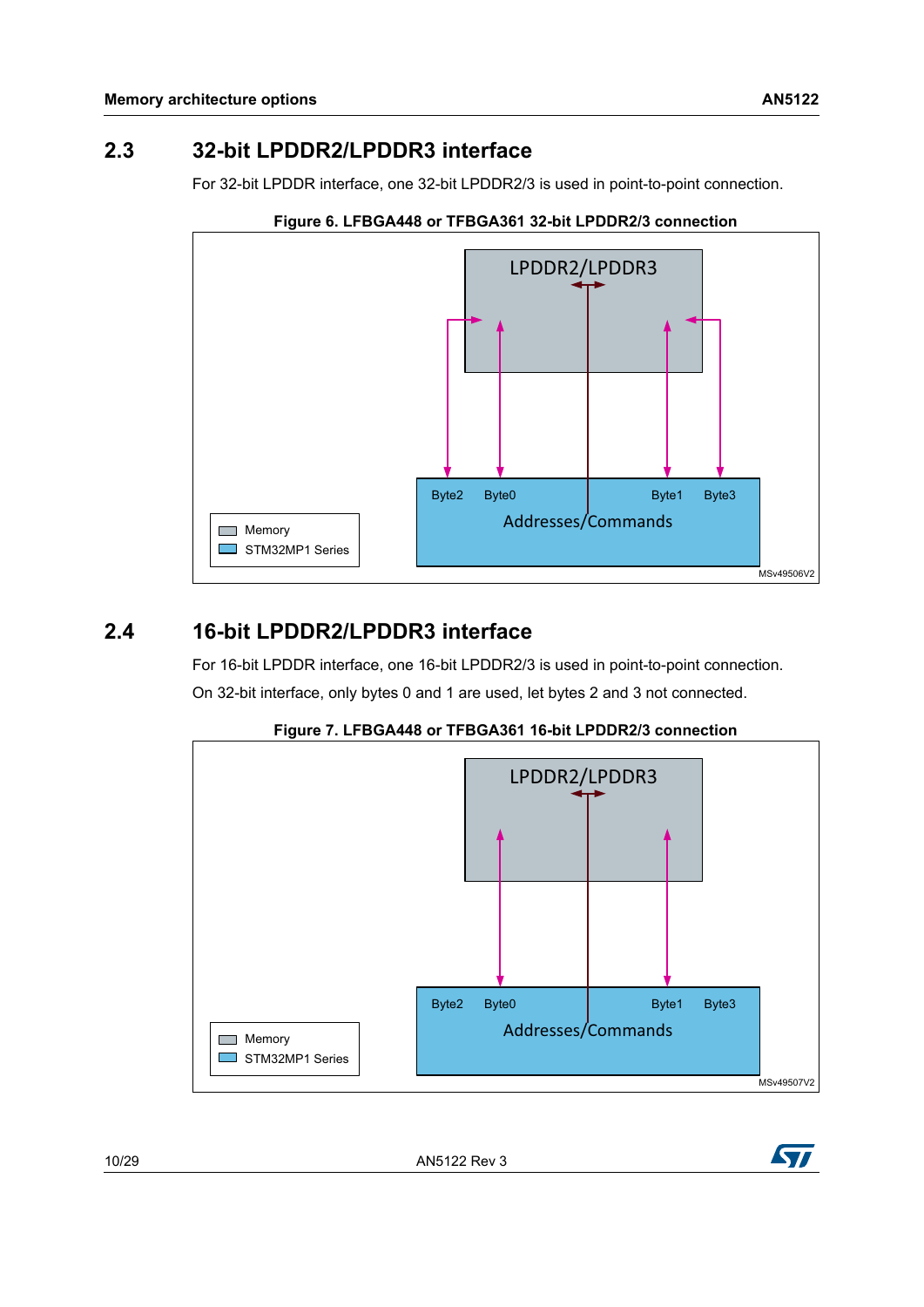## <span id="page-9-0"></span>**2.3 32-bit LPDDR2/LPDDR3 interface**

For 32-bit LPDDR interface, one 32-bit LPDDR2/3 is used in point-to-point connection.

<span id="page-9-2"></span>

#### **Figure 6. LFBGA448 or TFBGA361 32-bit LPDDR2/3 connection**

## <span id="page-9-1"></span>**2.4 16-bit LPDDR2/LPDDR3 interface**

For 16-bit LPDDR interface, one 16-bit LPDDR2/3 is used in point-to-point connection.

On 32-bit interface, only bytes 0 and 1 are used, let bytes 2 and 3 not connected.

<span id="page-9-3"></span>

**Figure 7. LFBGA448 or TFBGA361 16-bit LPDDR2/3 connection**

1[0/29](#page-28-0) AN5122 Rev 3

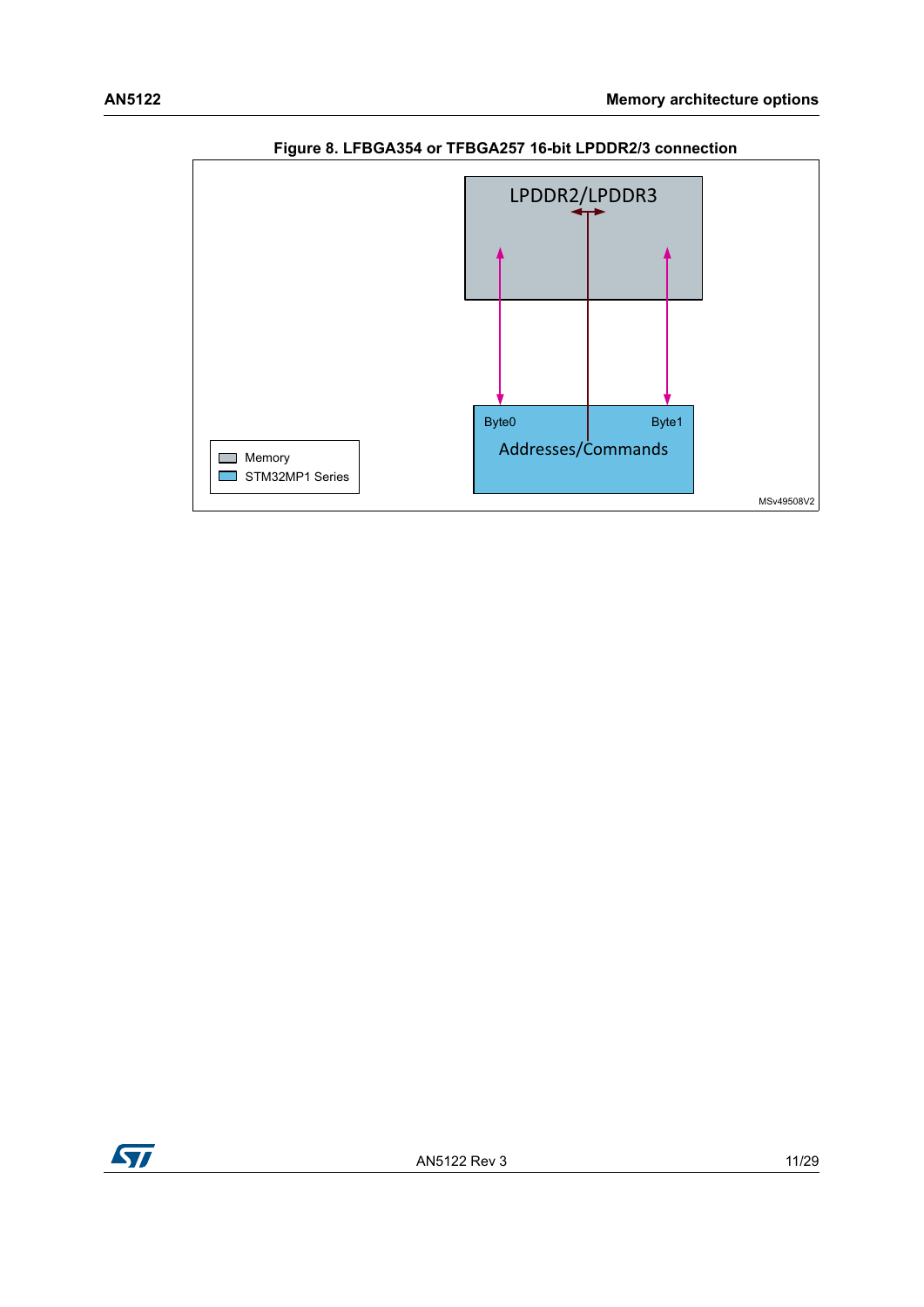<span id="page-10-0"></span>

### **Figure 8. LFBGA354 or TFBGA257 16-bit LPDDR2/3 connection**



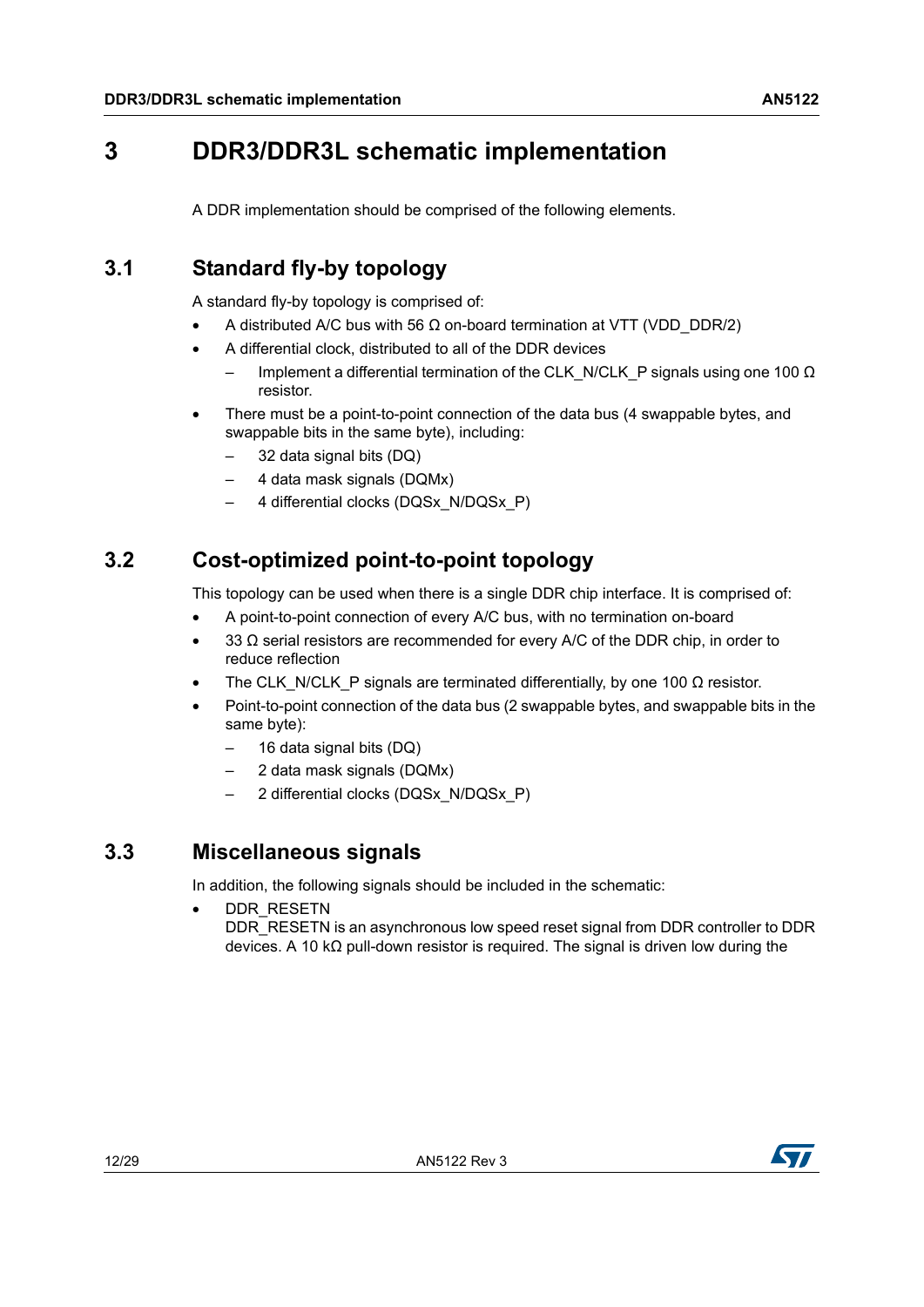## <span id="page-11-0"></span>**3 DDR3/DDR3L schematic implementation**

A DDR implementation should be comprised of the following elements.

## <span id="page-11-1"></span>**3.1 Standard fly-by topology**

A standard fly-by topology is comprised of:

- A distributed A/C bus with 56  $\Omega$  on-board termination at VTT (VDD\_DDR/2)
- A differential clock, distributed to all of the DDR devices
	- Implement a differential termination of the CLK\_N/CLK\_P signals using one 100  $\Omega$ resistor.
- There must be a point-to-point connection of the data bus (4 swappable bytes, and swappable bits in the same byte), including:
	- 32 data signal bits (DQ)
	- 4 data mask signals (DQMx)
	- 4 differential clocks (DQSx\_N/DQSx\_P)

## <span id="page-11-2"></span>**3.2 Cost-optimized point-to-point topology**

This topology can be used when there is a single DDR chip interface. It is comprised of:

- A point-to-point connection of every A/C bus, with no termination on-board
- 33  $\Omega$  serial resistors are recommended for every A/C of the DDR chip, in order to reduce reflection
- The CLK\_N/CLK\_P signals are terminated differentially, by one 100  $\Omega$  resistor.
- Point-to-point connection of the data bus (2 swappable bytes, and swappable bits in the same byte):
	- 16 data signal bits (DQ)
	- 2 data mask signals (DQMx)
	- 2 differential clocks (DQSx\_N/DQSx\_P)

## <span id="page-11-3"></span>**3.3 Miscellaneous signals**

In addition, the following signals should be included in the schematic:

DDR\_RESETN DDR\_RESETN is an asynchronous low speed reset signal from DDR controller to DDR devices. A 10 kΩ pull-down resistor is required. The signal is driven low during the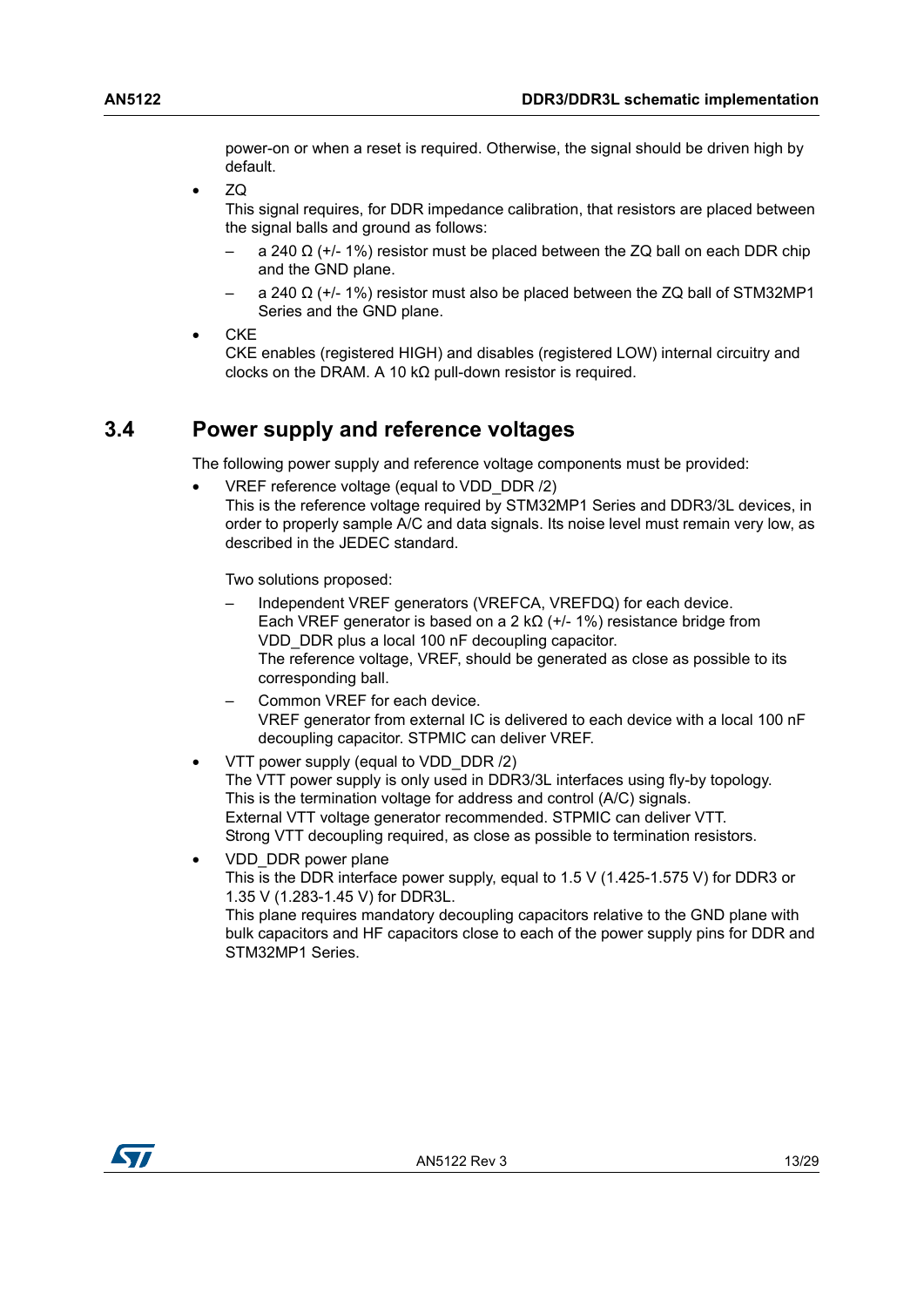power-on or when a reset is required. Otherwise, the signal should be driven high by default.

• ZQ

This signal requires, for DDR impedance calibration, that resistors are placed between the signal balls and ground as follows:

- a 240  $\Omega$  (+/- 1%) resistor must be placed between the ZQ ball on each DDR chip and the GND plane.
- a 240 Ω (+/- 1%) resistor must also be placed between the ZQ ball of STM32MP1 Series and the GND plane.
- CKE

CKE enables (registered HIGH) and disables (registered LOW) internal circuitry and clocks on the DRAM. A 10 kΩ pull-down resistor is required.

#### <span id="page-12-0"></span>**3.4 Power supply and reference voltages**

The following power supply and reference voltage components must be provided:

• VREF reference voltage (equal to VDD\_DDR /2)

This is the reference voltage required by STM32MP1 Series and DDR3/3L devices, in order to properly sample A/C and data signals. Its noise level must remain very low, as described in the JEDEC standard.

Two solutions proposed:

- Independent VREF generators (VREFCA, VREFDQ) for each device. Each VREF generator is based on a 2 k $\Omega$  (+/- 1%) resistance bridge from VDD\_DDR plus a local 100 nF decoupling capacitor. The reference voltage, VREF, should be generated as close as possible to its corresponding ball.
- Common VREF for each device. VREF generator from external IC is delivered to each device with a local 100 nF decoupling capacitor. STPMIC can deliver VREF.
- VTT power supply (equal to VDD\_DDR /2) The VTT power supply is only used in DDR3/3L interfaces using fly-by topology. This is the termination voltage for address and control (A/C) signals. External VTT voltage generator recommended. STPMIC can deliver VTT. Strong VTT decoupling required, as close as possible to termination resistors.
- VDD\_DDR power plane This is the DDR interface power supply, equal to 1.5 V (1.425-1.575 V) for DDR3 or 1.35 V (1.283-1.45 V) for DDR3L. This plane requires mandatory decoupling capacitors relative to the GND plane with bulk capacitors and HF capacitors close to each of the power supply pins for DDR and STM32MP1 Series.

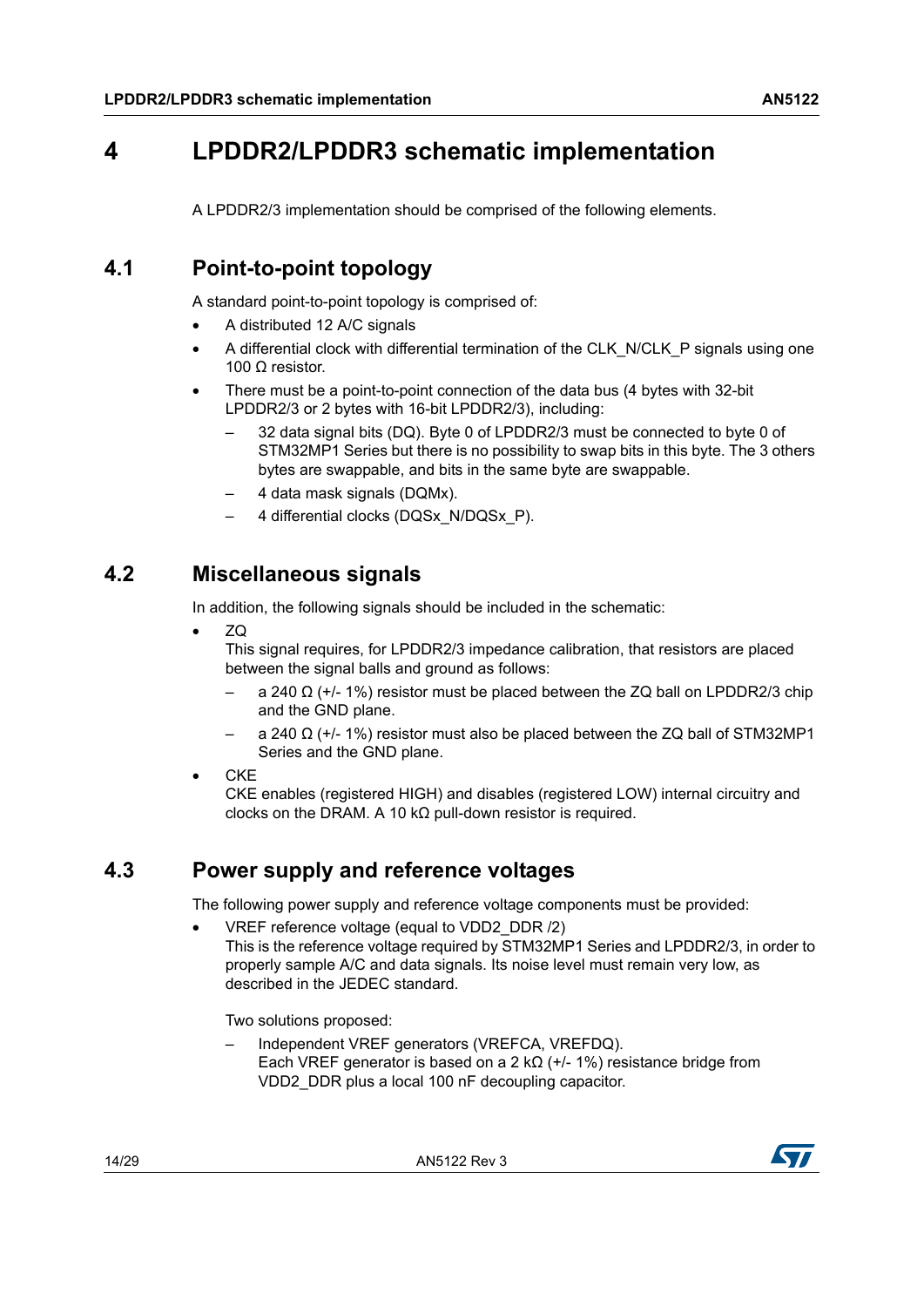## <span id="page-13-0"></span>**4 LPDDR2/LPDDR3 schematic implementation**

A LPDDR2/3 implementation should be comprised of the following elements.

## <span id="page-13-1"></span>**4.1 Point-to-point topology**

A standard point-to-point topology is comprised of:

- A distributed 12 A/C signals
- A differential clock with differential termination of the CLK\_N/CLK\_P signals using one 100 Ω resistor.
- There must be a point-to-point connection of the data bus (4 bytes with 32-bit LPDDR2/3 or 2 bytes with 16-bit LPDDR2/3), including:
	- 32 data signal bits (DQ). Byte 0 of LPDDR2/3 must be connected to byte 0 of STM32MP1 Series but there is no possibility to swap bits in this byte. The 3 others bytes are swappable, and bits in the same byte are swappable.
	- 4 data mask signals (DQMx).
	- 4 differential clocks (DQSx\_N/DQSx\_P).

## <span id="page-13-2"></span>**4.2 Miscellaneous signals**

In addition, the following signals should be included in the schematic:

• ZQ

This signal requires, for LPDDR2/3 impedance calibration, that resistors are placed between the signal balls and ground as follows:

- $-$  a 240 Ω (+/- 1%) resistor must be placed between the ZQ ball on LPDDR2/3 chip and the GND plane.
- a 240  $\Omega$  (+/- 1%) resistor must also be placed between the ZQ ball of STM32MP1 Series and the GND plane.
- CKE

CKE enables (registered HIGH) and disables (registered LOW) internal circuitry and clocks on the DRAM. A 10 kΩ pull-down resistor is required.

## <span id="page-13-3"></span>**4.3 Power supply and reference voltages**

The following power supply and reference voltage components must be provided:

• VREF reference voltage (equal to VDD2\_DDR /2) This is the reference voltage required by STM32MP1 Series and LPDDR2/3, in order to properly sample A/C and data signals. Its noise level must remain very low, as described in the JEDEC standard.

Two solutions proposed:

– Independent VREF generators (VREFCA, VREFDQ). Each VREF generator is based on a 2 k $\Omega$  (+/- 1%) resistance bridge from VDD2\_DDR plus a local 100 nF decoupling capacitor.

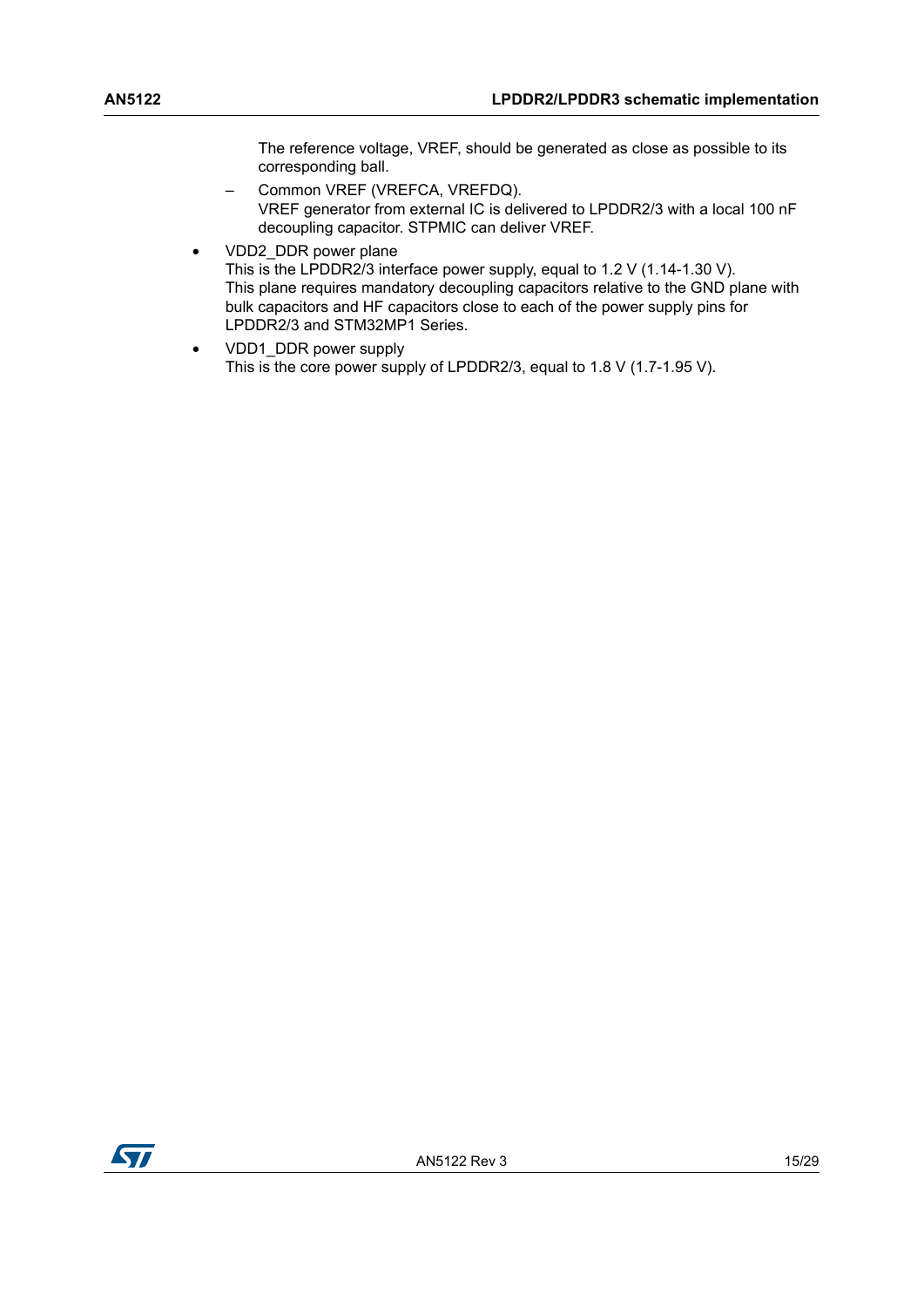The reference voltage, VREF, should be generated as close as possible to its corresponding ball.

- Common VREF (VREFCA, VREFDQ). VREF generator from external IC is delivered to LPDDR2/3 with a local 100 nF decoupling capacitor. STPMIC can deliver VREF.
- VDD2\_DDR power plane This is the LPDDR2/3 interface power supply, equal to 1.2 V (1.14-1.30 V). This plane requires mandatory decoupling capacitors relative to the GND plane with bulk capacitors and HF capacitors close to each of the power supply pins for LPDDR2/3 and STM32MP1 Series.
- VDD1\_DDR power supply This is the core power supply of LPDDR2/3, equal to 1.8 V (1.7-1.95 V).

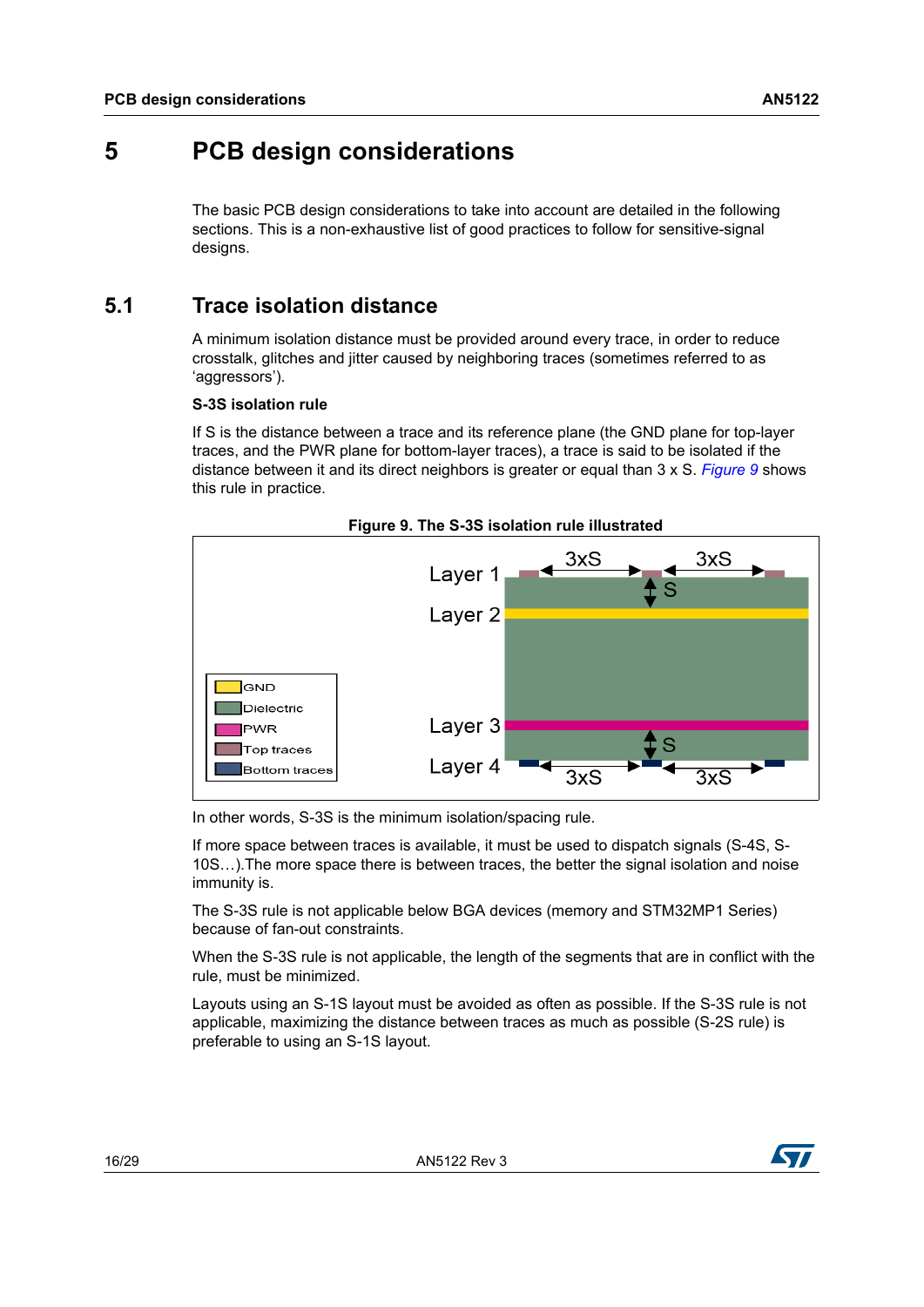## <span id="page-15-0"></span>**5 PCB design considerations**

The basic PCB design considerations to take into account are detailed in the following sections. This is a non-exhaustive list of good practices to follow for sensitive-signal designs.

## <span id="page-15-1"></span>**5.1 Trace isolation distance**

A minimum isolation distance must be provided around every trace, in order to reduce crosstalk, glitches and jitter caused by neighboring traces (sometimes referred to as 'aggressors').

#### **S-3S isolation rule**

If S is the distance between a trace and its reference plane (the GND plane for top-layer traces, and the PWR plane for bottom-layer traces), a trace is said to be isolated if the distance between it and its direct neighbors is greater or equal than 3 x S. *[Figure](#page-15-2) 9* shows this rule in practice.

<span id="page-15-2"></span>

In other words, S-3S is the minimum isolation/spacing rule.

If more space between traces is available, it must be used to dispatch signals (S-4S, S-10S…).The more space there is between traces, the better the signal isolation and noise immunity is.

The S-3S rule is not applicable below BGA devices (memory and STM32MP1 Series) because of fan-out constraints.

When the S-3S rule is not applicable, the length of the segments that are in conflict with the rule, must be minimized.

Layouts using an S-1S layout must be avoided as often as possible. If the S-3S rule is not applicable, maximizing the distance between traces as much as possible (S-2S rule) is preferable to using an S-1S layout.

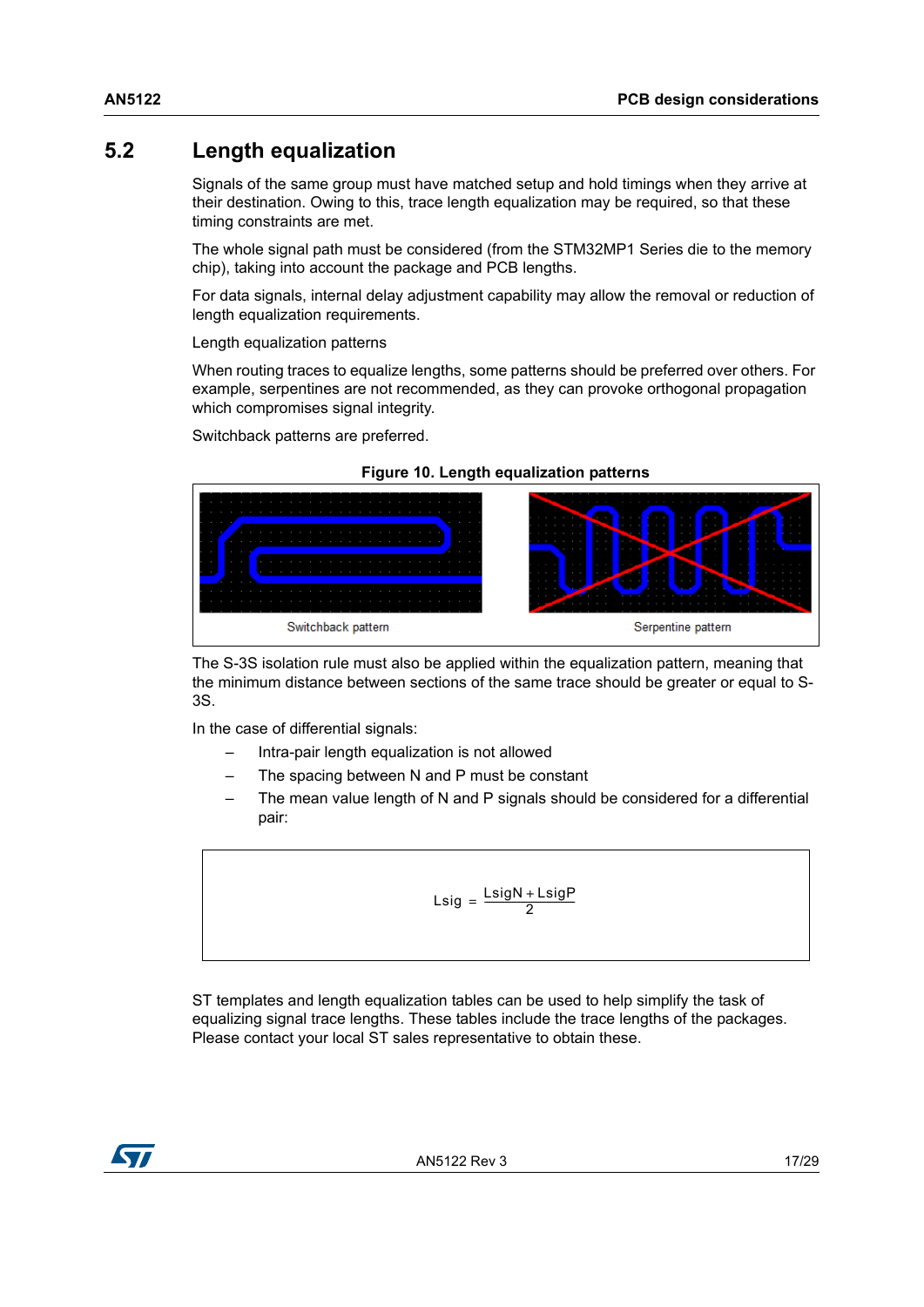## <span id="page-16-0"></span>**5.2 Length equalization**

Signals of the same group must have matched setup and hold timings when they arrive at their destination. Owing to this, trace length equalization may be required, so that these timing constraints are met.

The whole signal path must be considered (from the STM32MP1 Series die to the memory chip), taking into account the package and PCB lengths.

For data signals, internal delay adjustment capability may allow the removal or reduction of length equalization requirements.

#### Length equalization patterns

When routing traces to equalize lengths, some patterns should be preferred over others. For example, serpentines are not recommended, as they can provoke orthogonal propagation which compromises signal integrity.

Switchback patterns are preferred.

<span id="page-16-1"></span>

#### **Figure 10. Length equalization patterns**

The S-3S isolation rule must also be applied within the equalization pattern, meaning that the minimum distance between sections of the same trace should be greater or equal to S-3S.

In the case of differential signals:

- Intra-pair length equalization is not allowed
- The spacing between N and P must be constant
- The mean value length of N and P signals should be considered for a differential pair:

$$
Lsig = \frac{LsigN + LsigP}{2}
$$

ST templates and length equalization tables can be used to help simplify the task of equalizing signal trace lengths. These tables include the trace lengths of the packages. Please contact your local ST sales representative to obtain these.

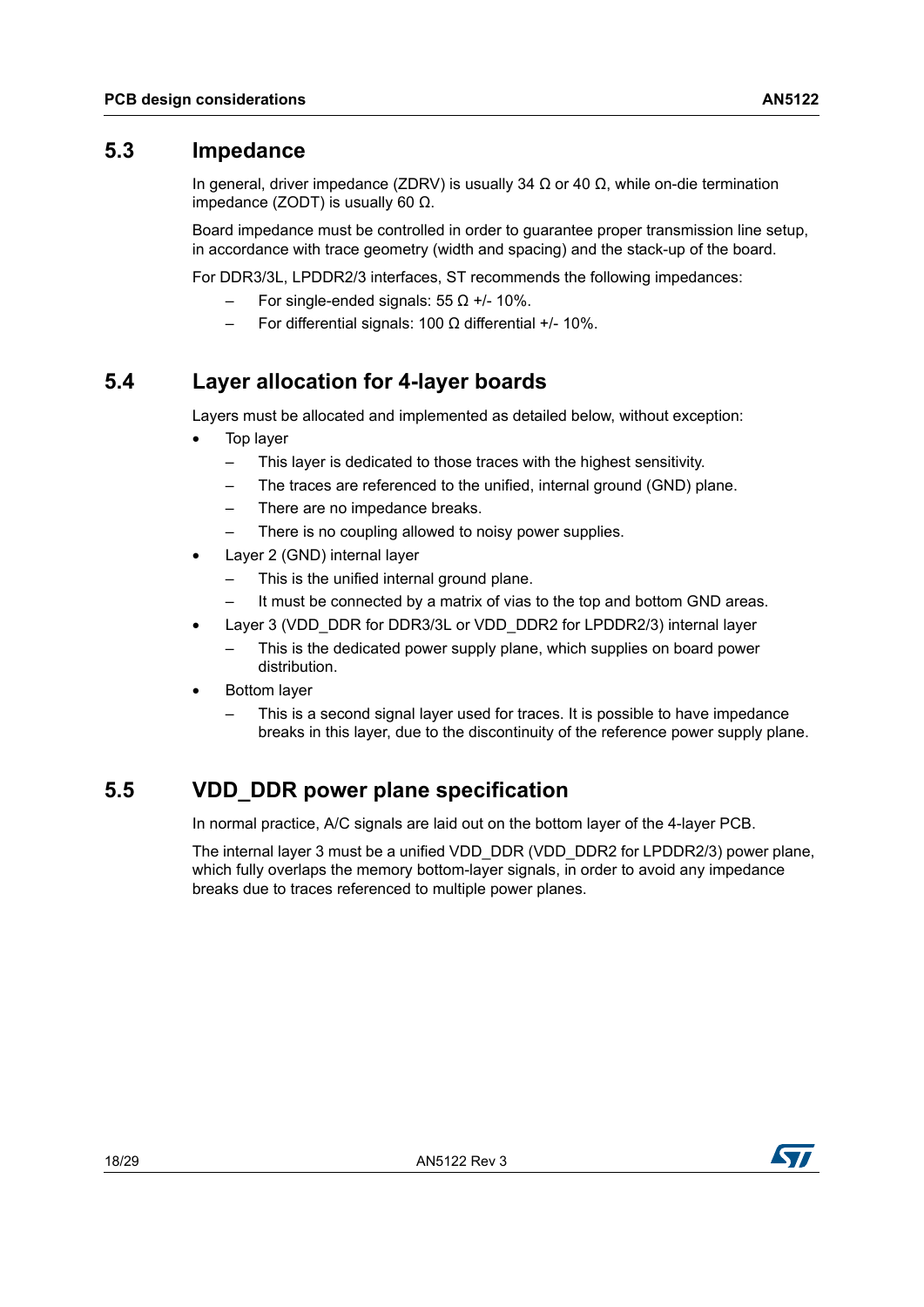### <span id="page-17-0"></span>**5.3 Impedance**

In general, driver impedance (ZDRV) is usually 34 Ω or 40  $Ω$ , while on-die termination impedance (ZODT) is usually 60 Ω.

Board impedance must be controlled in order to guarantee proper transmission line setup, in accordance with trace geometry (width and spacing) and the stack-up of the board.

For DDR3/3L, LPDDR2/3 interfaces, ST recommends the following impedances:

- For single-ended signals: 55 Ω +/- 10%.
- For differential signals: 100 Ω differential +/- 10%.

## <span id="page-17-1"></span>**5.4 Layer allocation for 4-layer boards**

Layers must be allocated and implemented as detailed below, without exception:

- Top layer
	- This layer is dedicated to those traces with the highest sensitivity.
	- The traces are referenced to the unified, internal ground (GND) plane.
	- There are no impedance breaks.
	- There is no coupling allowed to noisy power supplies.
- Layer 2 (GND) internal layer
	- This is the unified internal ground plane.
	- It must be connected by a matrix of vias to the top and bottom GND areas.
- Layer 3 (VDD\_DDR for DDR3/3L or VDD\_DDR2 for LPDDR2/3) internal layer
	- This is the dedicated power supply plane, which supplies on board power distribution.
- Bottom layer
	- This is a second signal layer used for traces. It is possible to have impedance breaks in this layer, due to the discontinuity of the reference power supply plane.

## <span id="page-17-2"></span>**5.5 VDD\_DDR power plane specification**

In normal practice, A/C signals are laid out on the bottom layer of the 4-layer PCB.

The internal layer 3 must be a unified VDD\_DDR (VDD\_DDR2 for LPDDR2/3) power plane, which fully overlaps the memory bottom-layer signals, in order to avoid any impedance breaks due to traces referenced to multiple power planes.

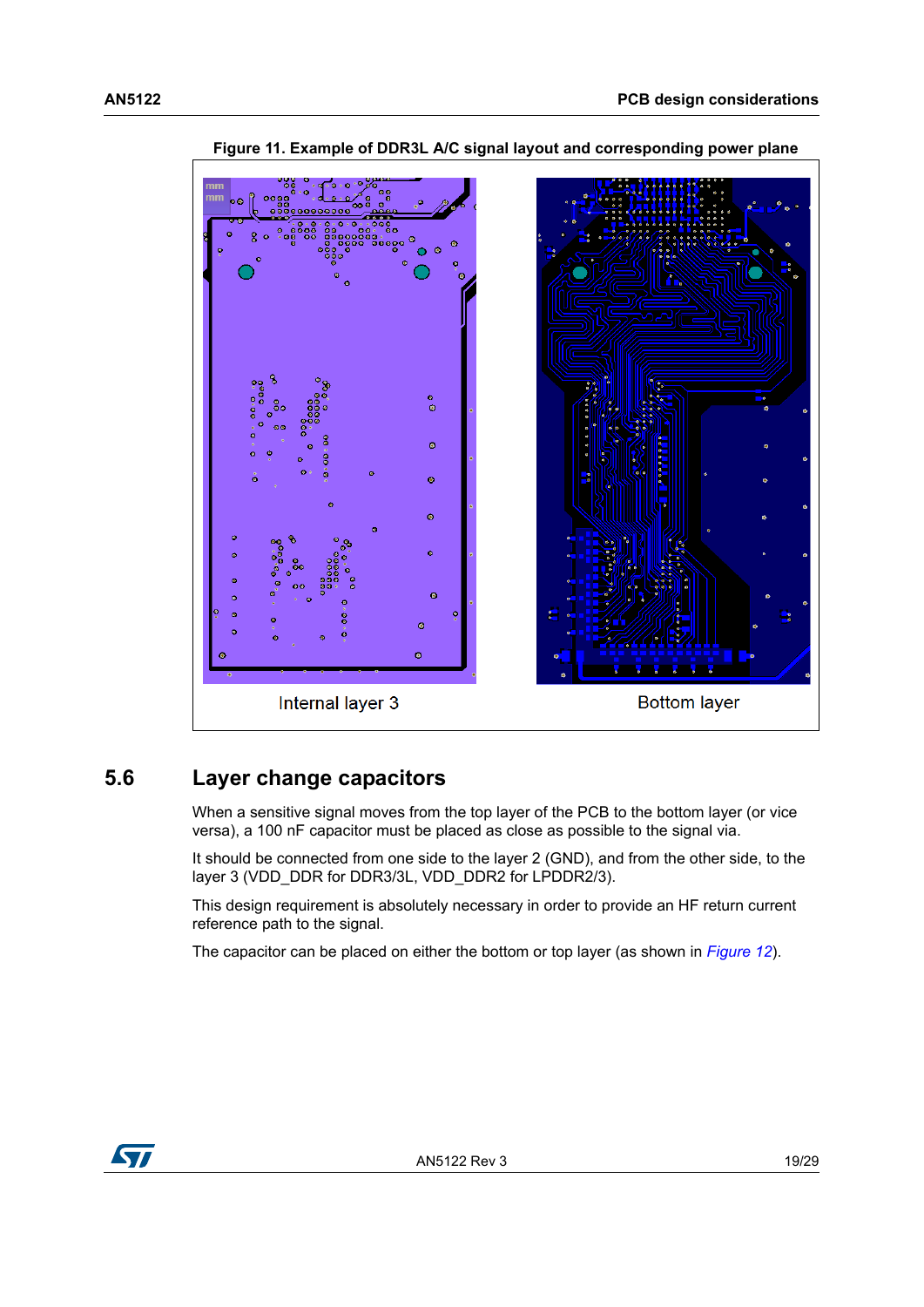<span id="page-18-1"></span>

**Figure 11. Example of DDR3L A/C signal layout and corresponding power plane**

## <span id="page-18-0"></span>**5.6 Layer change capacitors**

When a sensitive signal moves from the top layer of the PCB to the bottom layer (or vice versa), a 100 nF capacitor must be placed as close as possible to the signal via.

It should be connected from one side to the layer 2 (GND), and from the other side, to the layer 3 (VDD\_DDR for DDR3/3L, VDD\_DDR2 for LPDDR2/3).

This design requirement is absolutely necessary in order to provide an HF return current reference path to the signal.

The capacitor can be placed on either the bottom or top layer (as shown in *[Figure](#page-19-1) 12*).

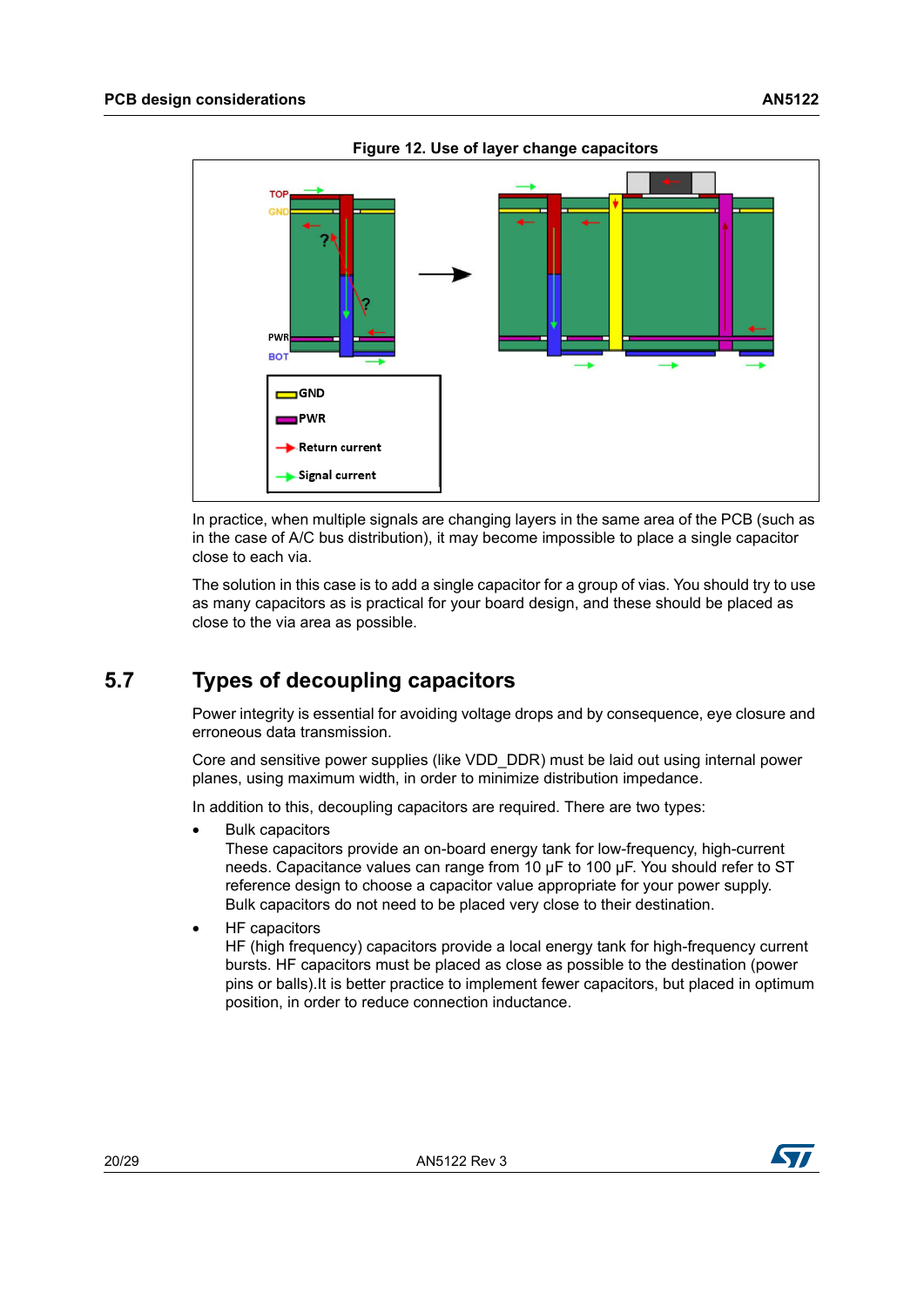<span id="page-19-1"></span>

**Figure 12. Use of layer change capacitors**

In practice, when multiple signals are changing layers in the same area of the PCB (such as in the case of A/C bus distribution), it may become impossible to place a single capacitor close to each via.

The solution in this case is to add a single capacitor for a group of vias. You should try to use as many capacitors as is practical for your board design, and these should be placed as close to the via area as possible.

## <span id="page-19-0"></span>**5.7 Types of decoupling capacitors**

Power integrity is essential for avoiding voltage drops and by consequence, eye closure and erroneous data transmission.

Core and sensitive power supplies (like VDD\_DDR) must be laid out using internal power planes, using maximum width, in order to minimize distribution impedance.

In addition to this, decoupling capacitors are required. There are two types:

• Bulk capacitors

These capacitors provide an on-board energy tank for low-frequency, high-current needs. Capacitance values can range from 10 μF to 100 μF. You should refer to ST reference design to choose a capacitor value appropriate for your power supply. Bulk capacitors do not need to be placed very close to their destination.

• HF capacitors

HF (high frequency) capacitors provide a local energy tank for high-frequency current bursts. HF capacitors must be placed as close as possible to the destination (power pins or balls).It is better practice to implement fewer capacitors, but placed in optimum position, in order to reduce connection inductance.

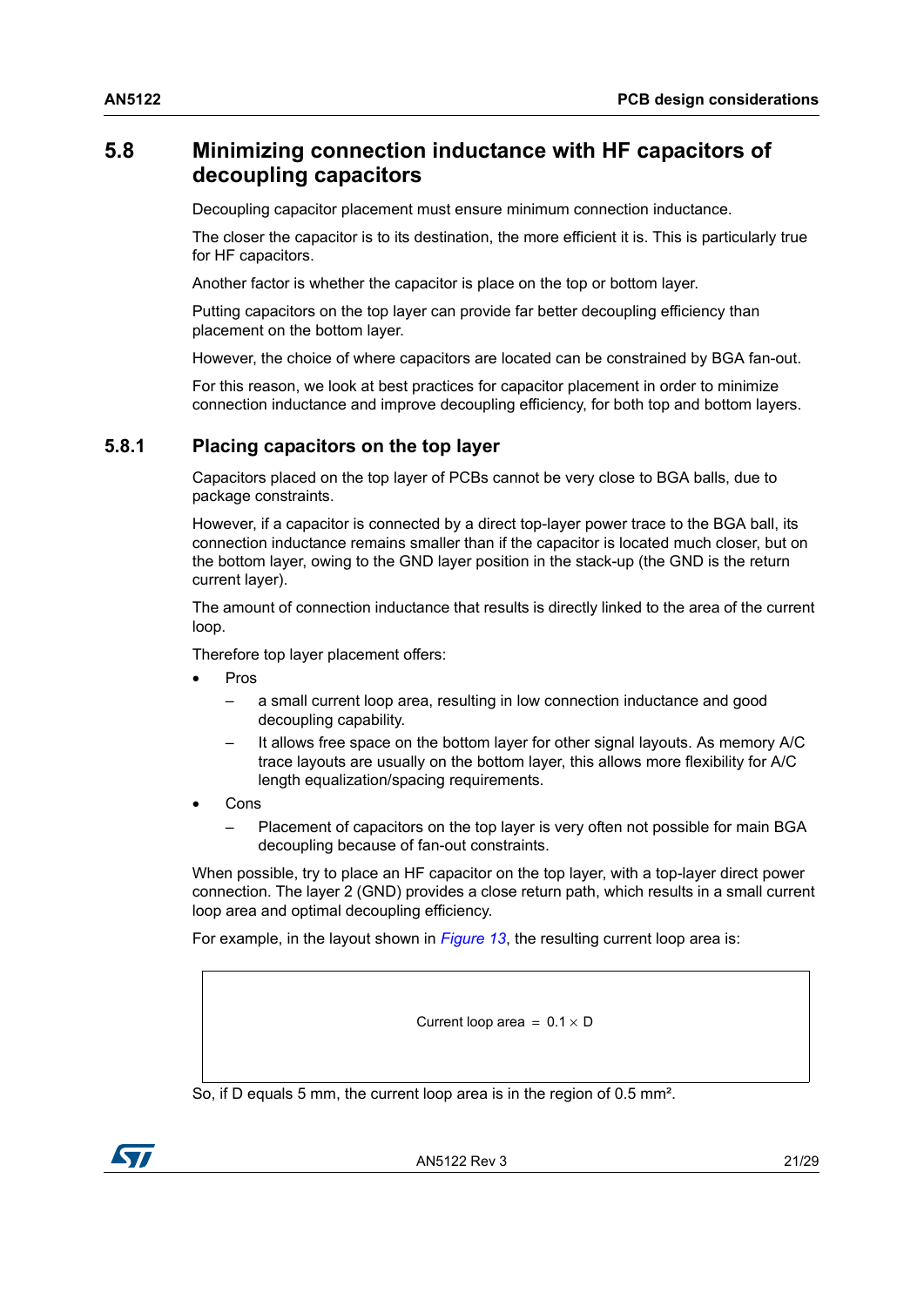## <span id="page-20-0"></span>**5.8 Minimizing connection inductance with HF capacitors of decoupling capacitors**

Decoupling capacitor placement must ensure minimum connection inductance.

The closer the capacitor is to its destination, the more efficient it is. This is particularly true for HF capacitors.

Another factor is whether the capacitor is place on the top or bottom layer.

Putting capacitors on the top layer can provide far better decoupling efficiency than placement on the bottom layer.

However, the choice of where capacitors are located can be constrained by BGA fan-out.

For this reason, we look at best practices for capacitor placement in order to minimize connection inductance and improve decoupling efficiency, for both top and bottom layers.

#### <span id="page-20-1"></span>**5.8.1 Placing capacitors on the top layer**

Capacitors placed on the top layer of PCBs cannot be very close to BGA balls, due to package constraints.

However, if a capacitor is connected by a direct top-layer power trace to the BGA ball, its connection inductance remains smaller than if the capacitor is located much closer, but on the bottom layer, owing to the GND layer position in the stack-up (the GND is the return current layer).

The amount of connection inductance that results is directly linked to the area of the current loop.

Therefore top layer placement offers:

- Pros
	- a small current loop area, resulting in low connection inductance and good decoupling capability.
	- It allows free space on the bottom layer for other signal layouts. As memory A/C trace layouts are usually on the bottom layer, this allows more flexibility for A/C length equalization/spacing requirements.
- Cons
	- Placement of capacitors on the top layer is very often not possible for main BGA decoupling because of fan-out constraints.

When possible, try to place an HF capacitor on the top layer, with a top-layer direct power connection. The layer 2 (GND) provides a close return path, which results in a small current loop area and optimal decoupling efficiency.

For example, in the layout shown in *[Figure](#page-21-1) 13*, the resulting current loop area is:

Current loop area =  $0.1 \times D$ 

So, if D equals 5 mm, the current loop area is in the region of 0.5 mm².

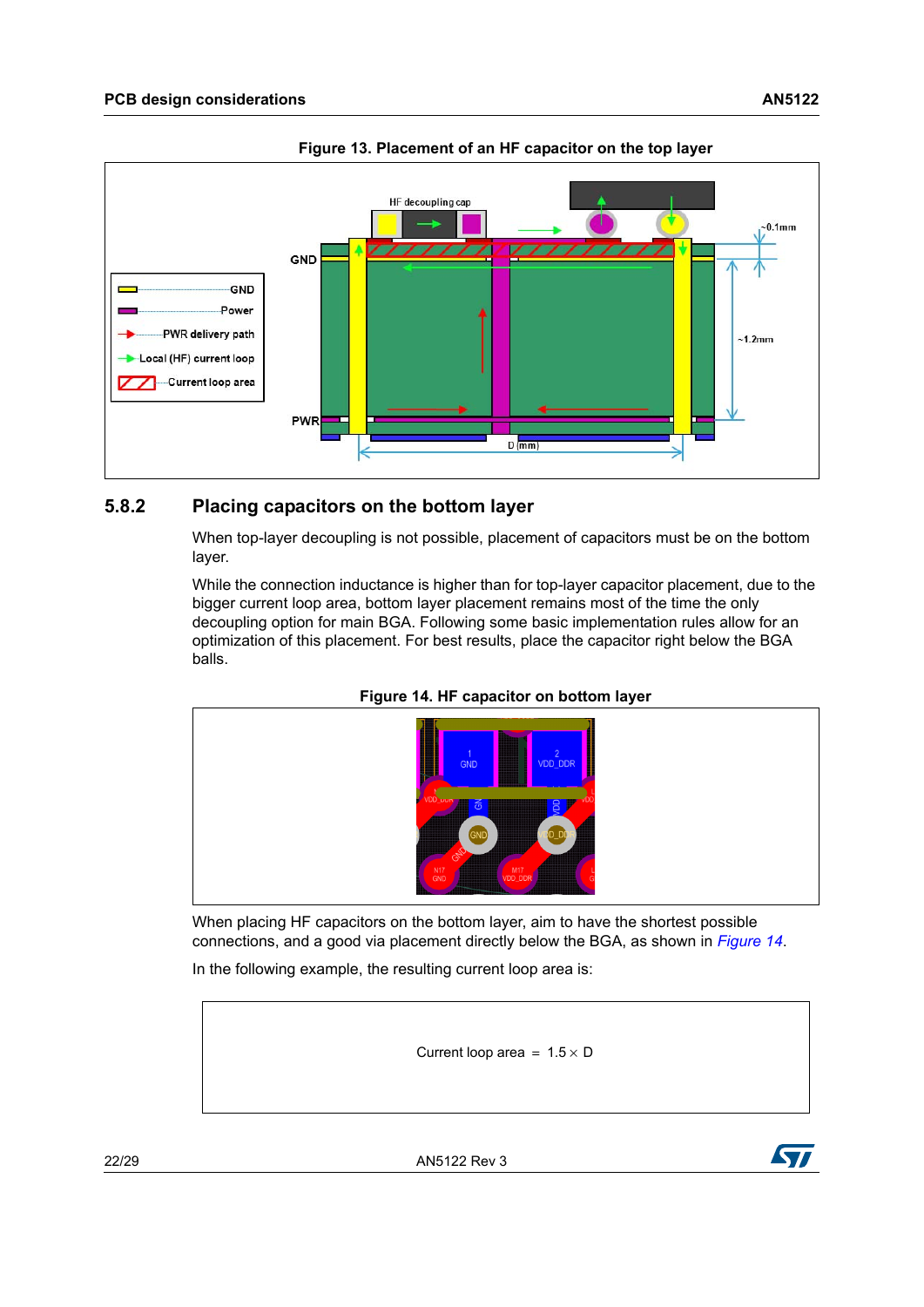<span id="page-21-1"></span>

**Figure 13. Placement of an HF capacitor on the top layer**

#### <span id="page-21-0"></span>**5.8.2 Placing capacitors on the bottom layer**

When top-layer decoupling is not possible, placement of capacitors must be on the bottom layer.

While the connection inductance is higher than for top-layer capacitor placement, due to the bigger current loop area, bottom layer placement remains most of the time the only decoupling option for main BGA. Following some basic implementation rules allow for an optimization of this placement. For best results, place the capacitor right below the BGA balls.



<span id="page-21-2"></span>

When placing HF capacitors on the bottom layer, aim to have the shortest possible connections, and a good via placement directly below the BGA, as shown in *[Figure](#page-21-2) 14*.

In the following example, the resulting current loop area is:

Current loop area =  $1.5 \times D$ 



22/[29](#page-28-0) AN5122 Rev 3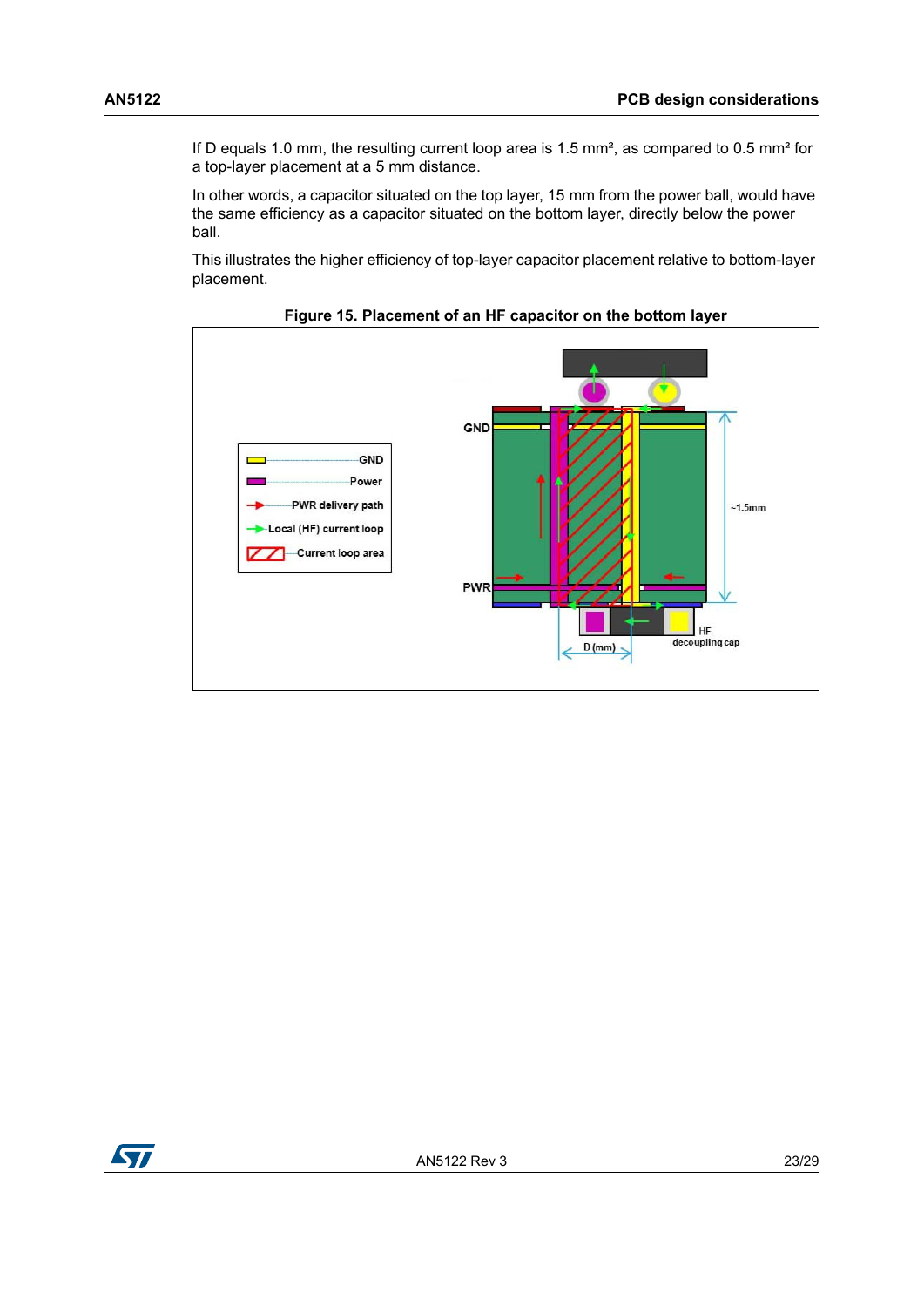If D equals 1.0 mm, the resulting current loop area is 1.5 mm<sup>2</sup>, as compared to 0.5 mm<sup>2</sup> for a top-layer placement at a 5 mm distance.

In other words, a capacitor situated on the top layer, 15 mm from the power ball, would have the same efficiency as a capacitor situated on the bottom layer, directly below the power ball.

This illustrates the higher efficiency of top-layer capacitor placement relative to bottom-layer placement.

<span id="page-22-0"></span>

**Figure 15. Placement of an HF capacitor on the bottom layer**

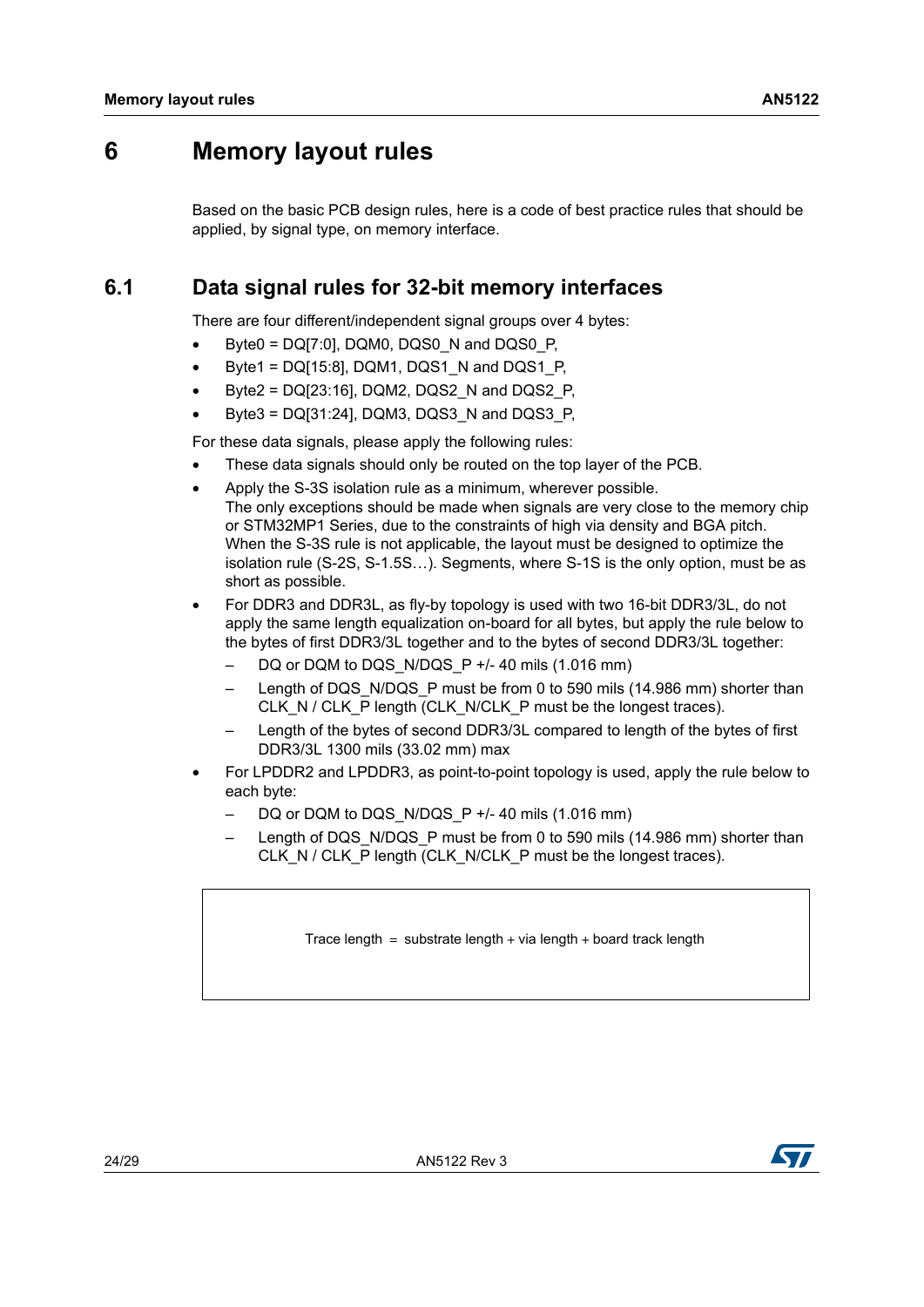## <span id="page-23-0"></span>**6 Memory layout rules**

Based on the basic PCB design rules, here is a code of best practice rules that should be applied, by signal type, on memory interface.

## <span id="page-23-1"></span>**6.1 Data signal rules for 32-bit memory interfaces**

There are four different/independent signal groups over 4 bytes:

- Byte0 =  $DQ[7:0]$ , DQM0, DQS0 N and DQS0 P,
- Byte1 =  $DQ[15:8]$ , DQM1, DQS1  $N$  and DQS1  $P$ ,
- Byte2 = DQ[23:16], DQM2, DQS2\_N and DQS2\_P,
- Byte3 = DQ[31:24], DQM3, DQS3\_N and DQS3\_P,

For these data signals, please apply the following rules:

- These data signals should only be routed on the top layer of the PCB.
- Apply the S-3S isolation rule as a minimum, wherever possible. The only exceptions should be made when signals are very close to the memory chip or STM32MP1 Series, due to the constraints of high via density and BGA pitch. When the S-3S rule is not applicable, the layout must be designed to optimize the isolation rule (S-2S, S-1.5S…). Segments, where S-1S is the only option, must be as short as possible.
- For DDR3 and DDR3L, as fly-by topology is used with two 16-bit DDR3/3L, do not apply the same length equalization on-board for all bytes, but apply the rule below to the bytes of first DDR3/3L together and to the bytes of second DDR3/3L together:
	- DQ or DQM to DQS\_N/DQS\_P +/- 40 mils (1.016 mm)
	- Length of DQS\_N/DQS\_P must be from 0 to 590 mils (14.986 mm) shorter than CLK\_N / CLK\_P length (CLK\_N/CLK\_P must be the longest traces).
	- Length of the bytes of second DDR3/3L compared to length of the bytes of first DDR3/3L 1300 mils (33.02 mm) max
- For LPDDR2 and LPDDR3, as point-to-point topology is used, apply the rule below to each byte:
	- $-$  DQ or DQM to DQS\_N/DQS\_P +/- 40 mils (1.016 mm)
	- Length of DQS, N/DQS, P must be from 0 to 590 mils (14.986 mm) shorter than CLK\_N / CLK\_P length (CLK\_N/CLK\_P must be the longest traces).

Trace length  $=$  substrate length  $+$  via length  $+$  board track length

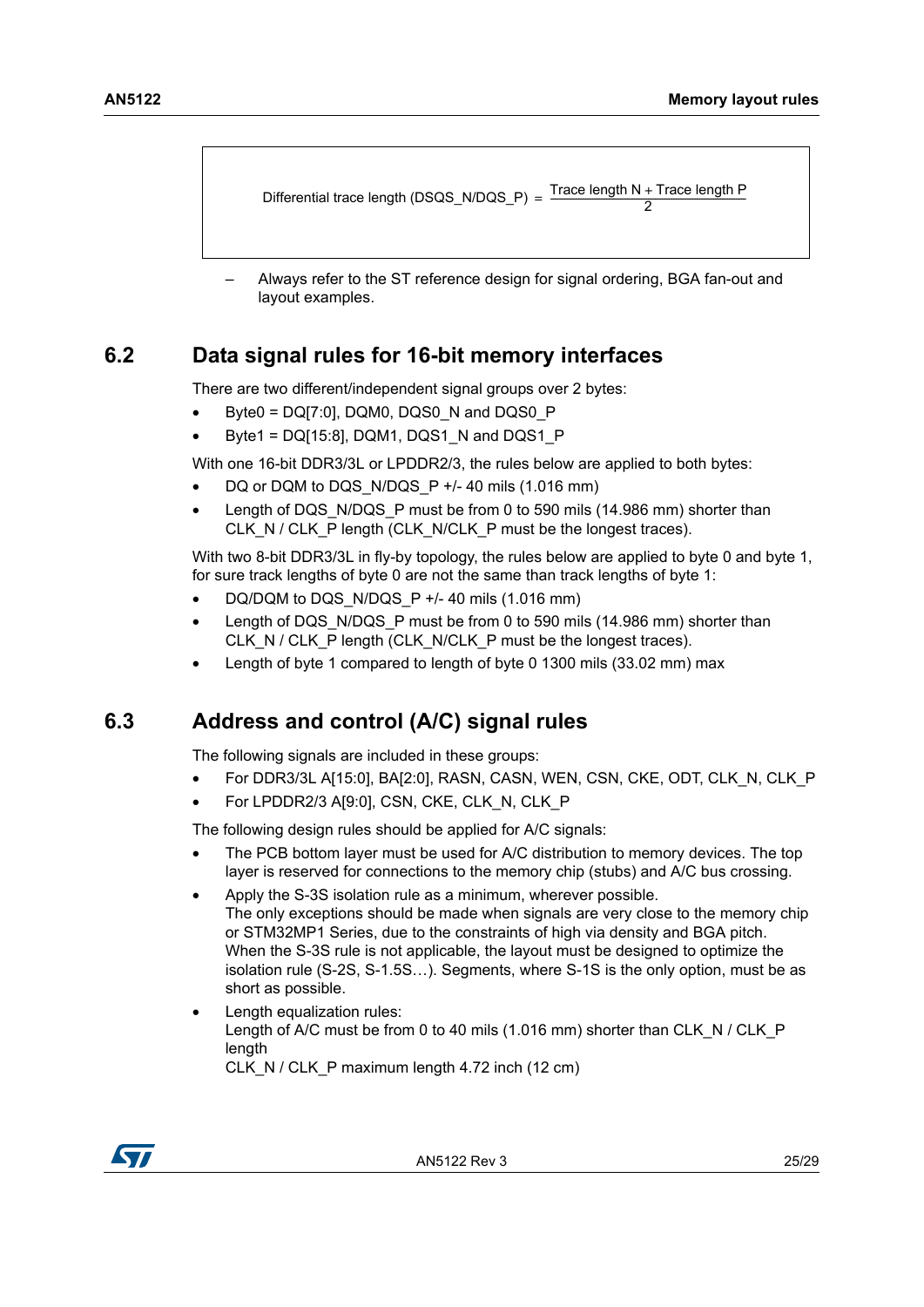```
Differential trace length (DSQS_N/DQS_P) = \frac{Irac}{Irac}{2}Trace length N + Trace length P
```
– Always refer to the ST reference design for signal ordering, BGA fan-out and layout examples.

## <span id="page-24-0"></span>**6.2 Data signal rules for 16-bit memory interfaces**

There are two different/independent signal groups over 2 bytes:

- Byte0 =  $DQ[7:0]$ , DQM0, DQS0\_N and DQS0\_P
- Byte1 =  $DQ[15:8]$ , DQM1, DQS1 N and DQS1 P

With one 16-bit DDR3/3L or LPDDR2/3, the rules below are applied to both bytes:

- DQ or DQM to DQS\_N/DQS\_P +/- 40 mils (1.016 mm)
- Length of DQS, N/DQS, P must be from 0 to 590 mils (14.986 mm) shorter than CLK\_N / CLK\_P length (CLK\_N/CLK\_P must be the longest traces).

With two 8-bit DDR3/3L in fly-by topology, the rules below are applied to byte 0 and byte 1, for sure track lengths of byte 0 are not the same than track lengths of byte 1:

- DQ/DQM to DQS\_N/DQS\_P +/- 40 mils  $(1.016$  mm)
- Length of DQS\_N/DQS\_P must be from 0 to 590 mils (14.986 mm) shorter than CLK\_N / CLK\_P length (CLK\_N/CLK\_P must be the longest traces).
- Length of byte 1 compared to length of byte 0 1300 mils (33.02 mm) max

## <span id="page-24-1"></span>**6.3 Address and control (A/C) signal rules**

The following signals are included in these groups:

- For DDR3/3L A[15:0], BA[2:0], RASN, CASN, WEN, CSN, CKE, ODT, CLK\_N, CLK\_P
- For LPDDR2/3 A[9:0], CSN, CKE, CLK\_N, CLK\_P

The following design rules should be applied for A/C signals:

- The PCB bottom layer must be used for A/C distribution to memory devices. The top layer is reserved for connections to the memory chip (stubs) and A/C bus crossing.
- Apply the S-3S isolation rule as a minimum, wherever possible. The only exceptions should be made when signals are very close to the memory chip or STM32MP1 Series, due to the constraints of high via density and BGA pitch. When the S-3S rule is not applicable, the layout must be designed to optimize the isolation rule (S-2S, S-1.5S…). Segments, where S-1S is the only option, must be as short as possible.
- Length equalization rules: Length of A/C must be from 0 to 40 mils (1.016 mm) shorter than CLK\_N / CLK\_P length CLK\_N / CLK\_P maximum length 4.72 inch (12 cm)

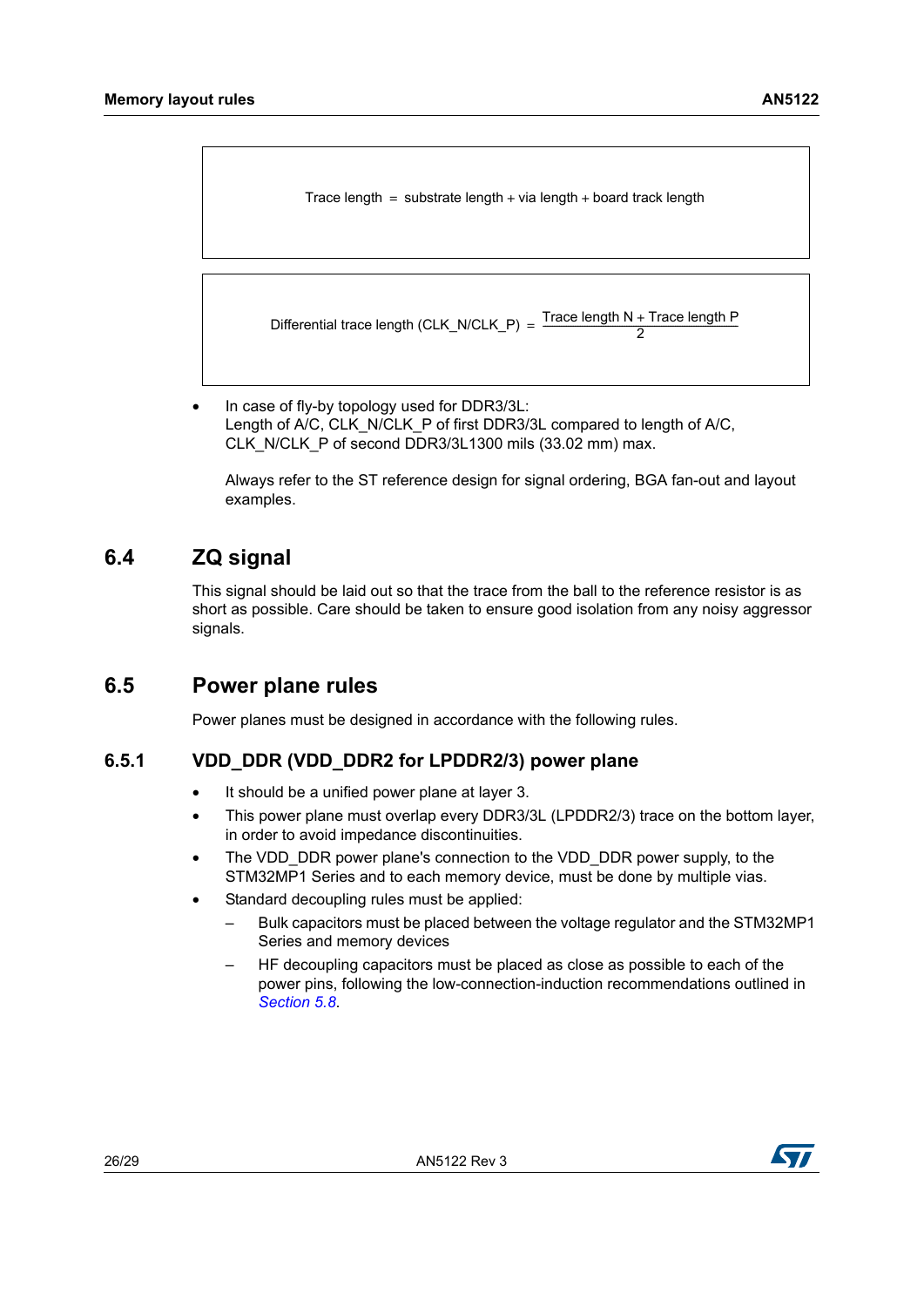Trace length  $=$  substrate length  $+$  via length  $+$  board track length

Differential trace length (CLK\_N/CLK\_P) =  $\frac{\text{Trace length N + Trace length P}}{2}$ 

• In case of fly-by topology used for DDR3/3L: Length of A/C, CLK\_N/CLK\_P of first DDR3/3L compared to length of A/C, CLK\_N/CLK\_P of second DDR3/3L1300 mils (33.02 mm) max.

Always refer to the ST reference design for signal ordering, BGA fan-out and layout examples.

## <span id="page-25-0"></span>**6.4 ZQ signal**

This signal should be laid out so that the trace from the ball to the reference resistor is as short as possible. Care should be taken to ensure good isolation from any noisy aggressor signals.

## <span id="page-25-1"></span>**6.5 Power plane rules**

Power planes must be designed in accordance with the following rules.

#### <span id="page-25-2"></span>**6.5.1 VDD\_DDR (VDD\_DDR2 for LPDDR2/3) power plane**

- It should be a unified power plane at layer 3.
- This power plane must overlap every DDR3/3L (LPDDR2/3) trace on the bottom layer, in order to avoid impedance discontinuities.
- The VDD DDR power plane's connection to the VDD DDR power supply, to the STM32MP1 Series and to each memory device, must be done by multiple vias.
- Standard decoupling rules must be applied:
	- Bulk capacitors must be placed between the voltage regulator and the STM32MP1 Series and memory devices
	- HF decoupling capacitors must be placed as close as possible to each of the power pins, following the low-connection-induction recommendations outlined in *[Section 5.8](#page-20-0)*.

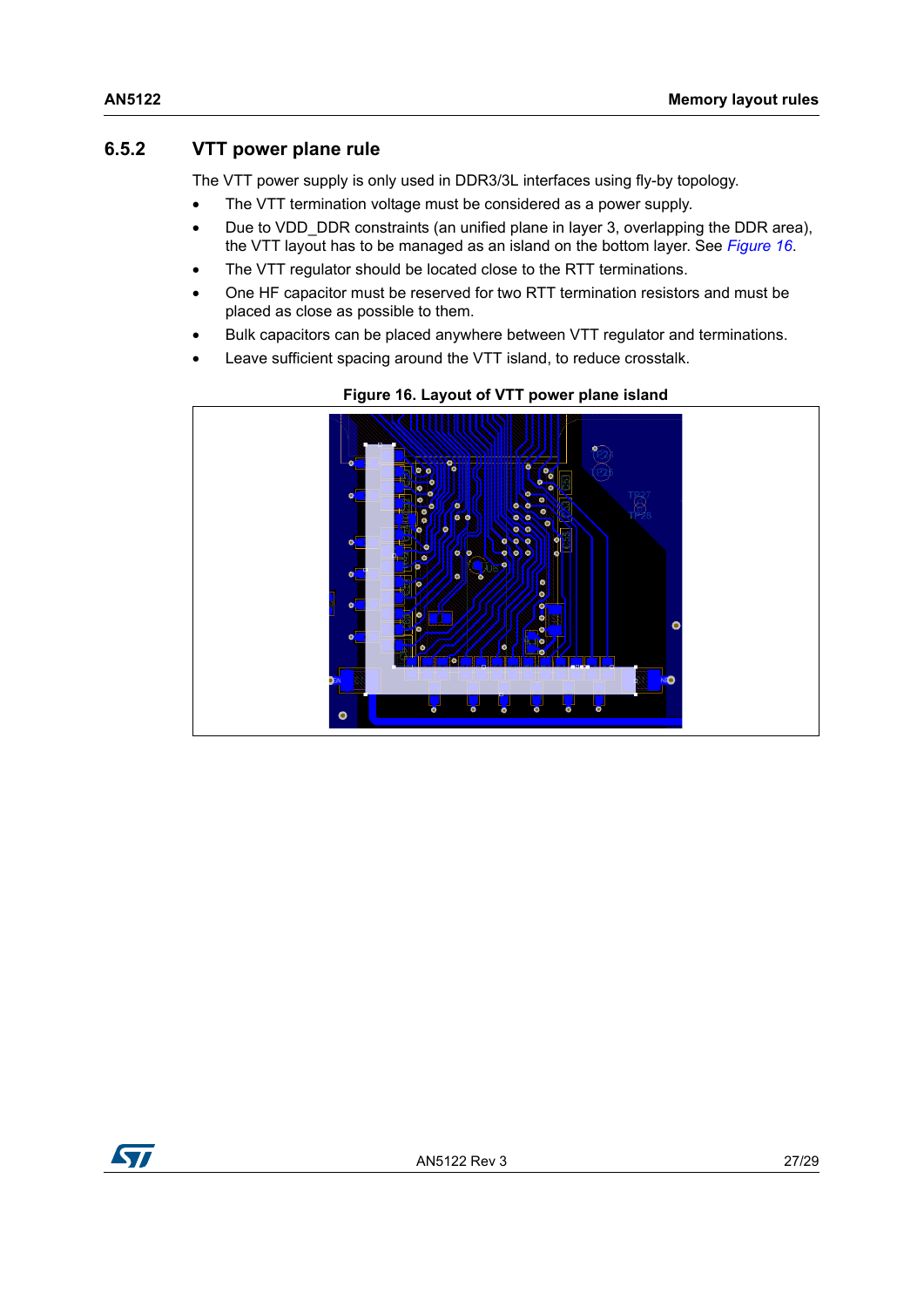### <span id="page-26-0"></span>**6.5.2 VTT power plane rule**

The VTT power supply is only used in DDR3/3L interfaces using fly-by topology.

- The VTT termination voltage must be considered as a power supply.
- Due to VDD DDR constraints (an unified plane in layer 3, overlapping the DDR area), the VTT layout has to be managed as an island on the bottom layer. See *[Figure 16](#page-26-1)*.
- The VTT regulator should be located close to the RTT terminations.
- One HF capacitor must be reserved for two RTT termination resistors and must be placed as close as possible to them.
- Bulk capacitors can be placed anywhere between VTT regulator and terminations.
- Leave sufficient spacing around the VTT island, to reduce crosstalk.

<span id="page-26-1"></span>

#### **Figure 16. Layout of VTT power plane island**

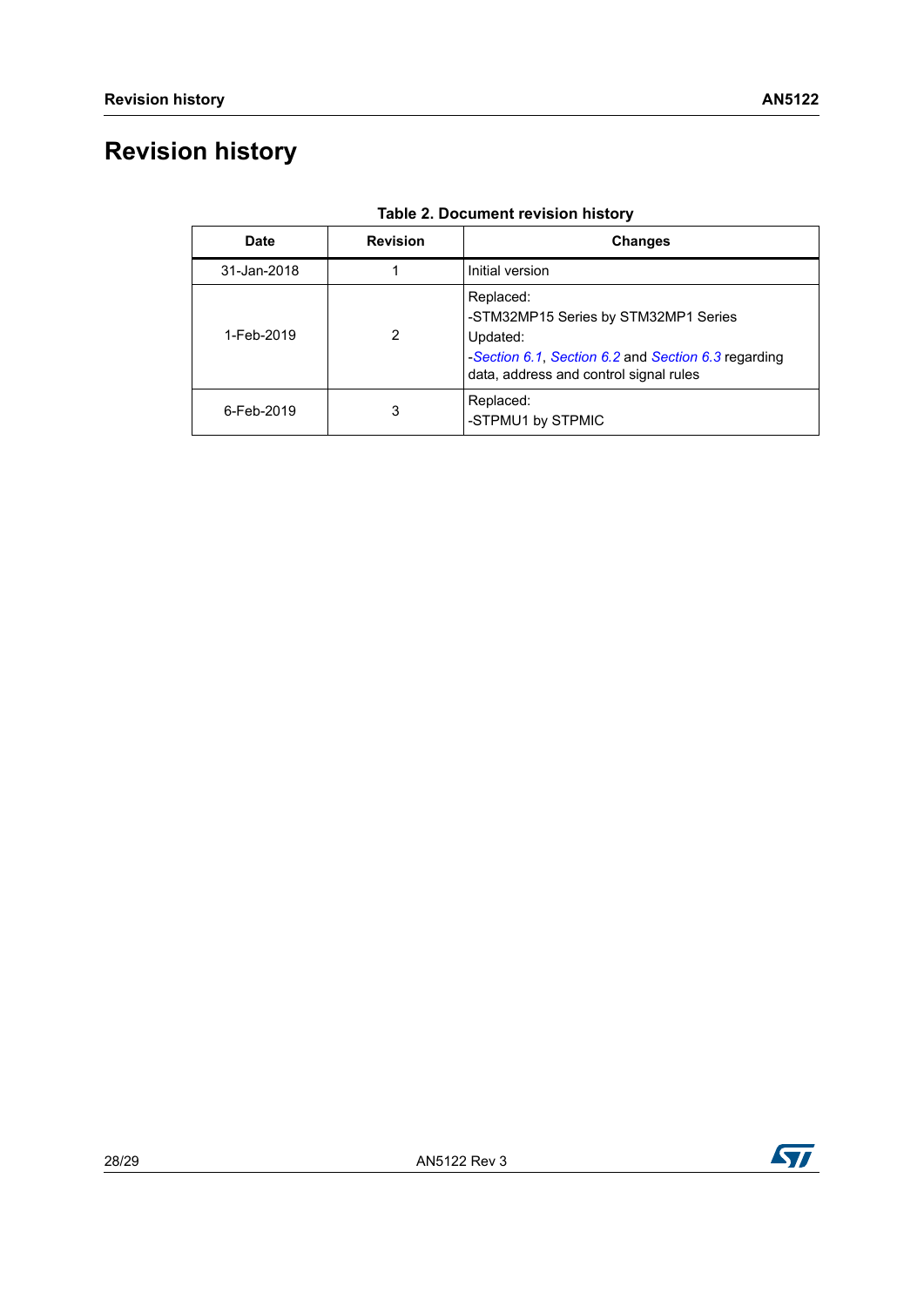# <span id="page-27-0"></span>**Revision history**

<span id="page-27-1"></span>

| <b>Date</b> | <b>Revision</b> | <b>Changes</b>                                                                                                                                                 |
|-------------|-----------------|----------------------------------------------------------------------------------------------------------------------------------------------------------------|
| 31-Jan-2018 |                 | Initial version                                                                                                                                                |
| 1-Feb-2019  | 2               | Replaced:<br>-STM32MP15 Series by STM32MP1 Series<br>Updated:<br>-Section 6.1, Section 6.2 and Section 6.3 regarding<br>data, address and control signal rules |
| 6-Feb-2019  | 3               | Replaced:<br>-STPMU1 by STPMIC                                                                                                                                 |

#### **Table 2. Document revision history**